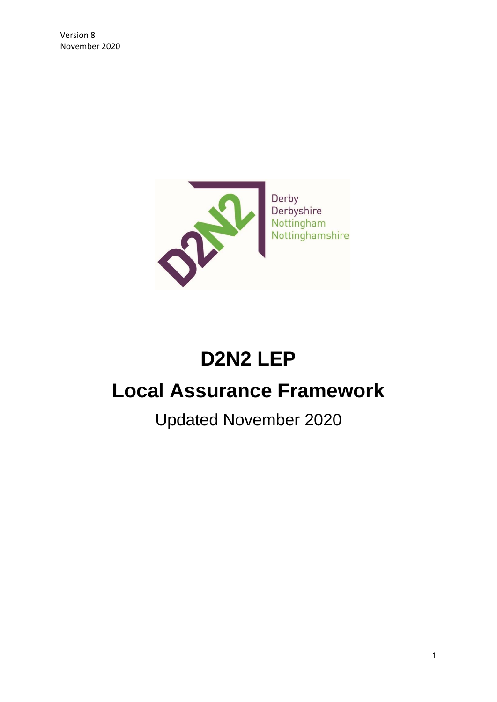

# **D2N2 LEP**

# **Local Assurance Framework**

Updated November 2020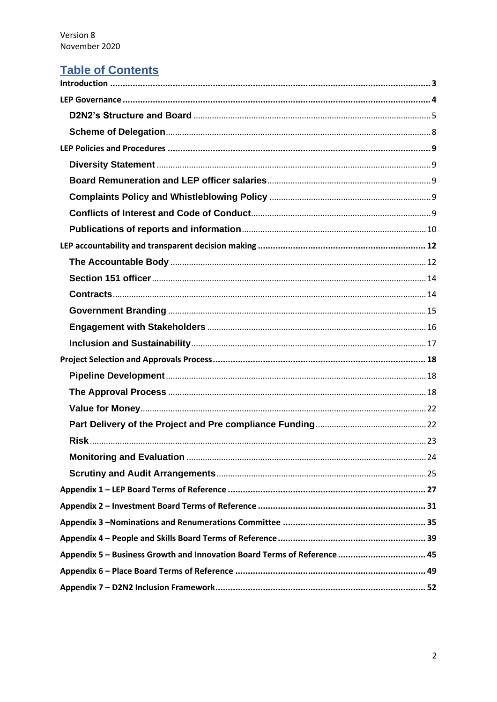# **Table of Contents**

| Appendix 5 - Business Growth and Innovation Board Terms of Reference  45 |
|--------------------------------------------------------------------------|
|                                                                          |
|                                                                          |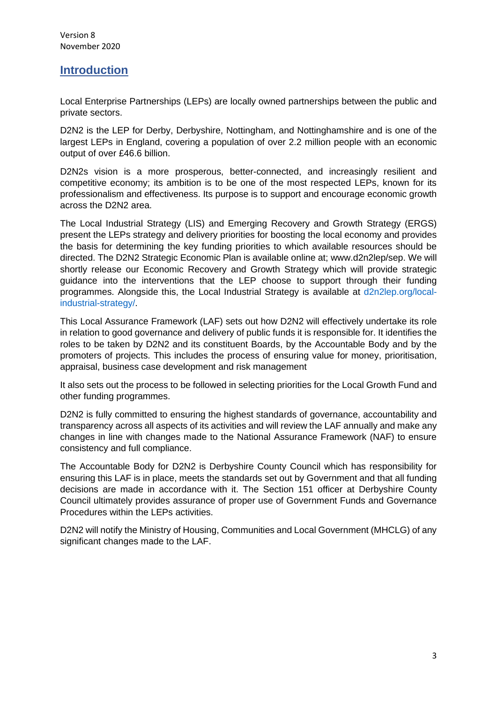# <span id="page-2-0"></span>**Introduction**

Local Enterprise Partnerships (LEPs) are locally owned partnerships between the public and private sectors.

D2N2 is the LEP for Derby, Derbyshire, Nottingham, and Nottinghamshire and is one of the largest LEPs in England, covering a population of over 2.2 million people with an economic output of over £46.6 billion.

D2N2s vision is a more prosperous, better-connected, and increasingly resilient and competitive economy; its ambition is to be one of the most respected LEPs, known for its professionalism and effectiveness. Its purpose is to support and encourage economic growth across the D2N2 area.

The Local Industrial Strategy (LIS) and Emerging Recovery and Growth Strategy (ERGS) present the LEPs strategy and delivery priorities for boosting the local economy and provides the basis for determining the key funding priorities to which available resources should be directed. The D2N2 Strategic Economic Plan is available online at; [www.d2n2lep/sep.](http://www.d2n2lep/sep) We will shortly release our Economic Recovery and Growth Strategy which will provide strategic guidance into the interventions that the LEP choose to support through their funding programmes. Alongside this, the Local Industrial Strategy is available at [d2n2lep.org/local](https://d2n2lep.org/local-industrial-strategy/)[industrial-strategy/.](https://d2n2lep.org/local-industrial-strategy/)

This Local Assurance Framework (LAF) sets out how D2N2 will effectively undertake its role in relation to good governance and delivery of public funds it is responsible for. It identifies the roles to be taken by D2N2 and its constituent Boards, by the Accountable Body and by the promoters of projects. This includes the process of ensuring value for money, prioritisation, appraisal, business case development and risk management

It also sets out the process to be followed in selecting priorities for the Local Growth Fund and other funding programmes.

D2N2 is fully committed to ensuring the highest standards of governance, accountability and transparency across all aspects of its activities and will review the LAF annually and make any changes in line with changes made to the National Assurance Framework (NAF) to ensure consistency and full compliance.

The Accountable Body for D2N2 is Derbyshire County Council which has responsibility for ensuring this LAF is in place, meets the standards set out by Government and that all funding decisions are made in accordance with it. The Section 151 officer at Derbyshire County Council ultimately provides assurance of proper use of Government Funds and Governance Procedures within the LEPs activities.

D2N2 will notify the Ministry of Housing, Communities and Local Government (MHCLG) of any significant changes made to the LAF.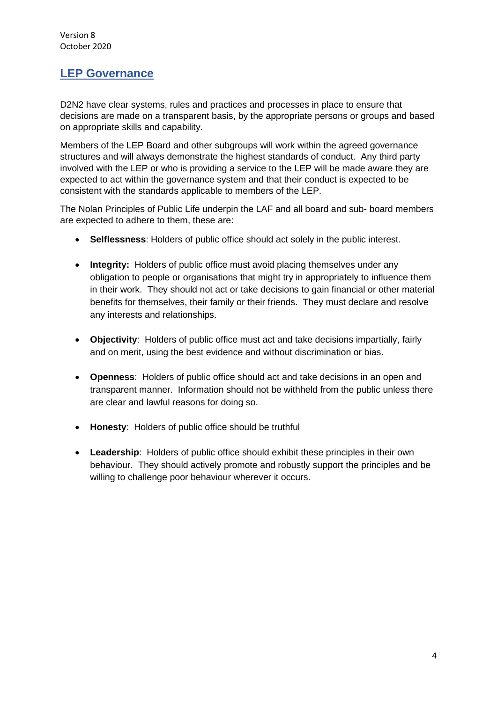# <span id="page-3-0"></span>**LEP Governance**

D2N2 have clear systems, rules and practices and processes in place to ensure that decisions are made on a transparent basis, by the appropriate persons or groups and based on appropriate skills and capability.

Members of the LEP Board and other subgroups will work within the agreed governance structures and will always demonstrate the highest standards of conduct. Any third party involved with the LEP or who is providing a service to the LEP will be made aware they are expected to act within the governance system and that their conduct is expected to be consistent with the standards applicable to members of the LEP.

The Nolan Principles of Public Life underpin the LAF and all board and sub- board members are expected to adhere to them, these are:

- **Selflessness**: Holders of public office should act solely in the public interest.
- **Integrity:** Holders of public office must avoid placing themselves under any obligation to people or organisations that might try in appropriately to influence them in their work. They should not act or take decisions to gain financial or other material benefits for themselves, their family or their friends. They must declare and resolve any interests and relationships.
- **Objectivity**: Holders of public office must act and take decisions impartially, fairly and on merit, using the best evidence and without discrimination or bias.
- **Openness**: Holders of public office should act and take decisions in an open and transparent manner. Information should not be withheld from the public unless there are clear and lawful reasons for doing so.
- **Honesty**: Holders of public office should be truthful
- **Leadership**: Holders of public office should exhibit these principles in their own behaviour. They should actively promote and robustly support the principles and be willing to challenge poor behaviour wherever it occurs.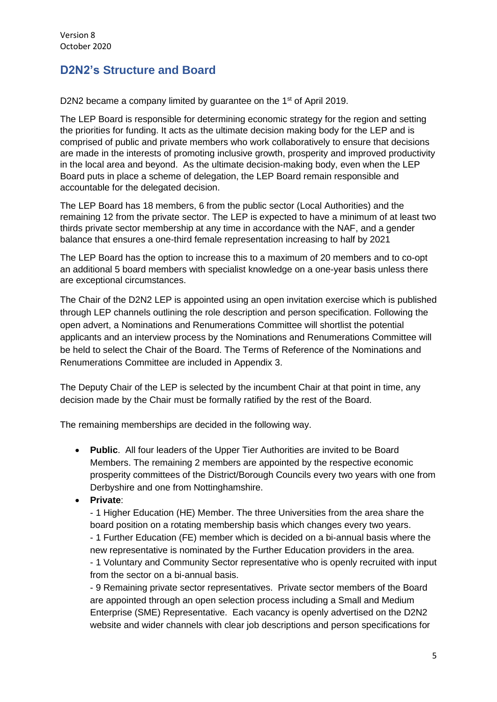# <span id="page-4-0"></span>**D2N2's Structure and Board**

D2N2 became a company limited by guarantee on the 1<sup>st</sup> of April 2019.

The LEP Board is responsible for determining economic strategy for the region and setting the priorities for funding. It acts as the ultimate decision making body for the LEP and is comprised of public and private members who work collaboratively to ensure that decisions are made in the interests of promoting inclusive growth, prosperity and improved productivity in the local area and beyond. As the ultimate decision-making body, even when the LEP Board puts in place a scheme of delegation, the LEP Board remain responsible and accountable for the delegated decision.

The LEP Board has 18 members, 6 from the public sector (Local Authorities) and the remaining 12 from the private sector. The LEP is expected to have a minimum of at least two thirds private sector membership at any time in accordance with the NAF, and a gender balance that ensures a one-third female representation increasing to half by 2021

The LEP Board has the option to increase this to a maximum of 20 members and to co-opt an additional 5 board members with specialist knowledge on a one-year basis unless there are exceptional circumstances.

The Chair of the D2N2 LEP is appointed using an open invitation exercise which is published through LEP channels outlining the role description and person specification. Following the open advert, a Nominations and Renumerations Committee will shortlist the potential applicants and an interview process by the Nominations and Renumerations Committee will be held to select the Chair of the Board. The Terms of Reference of the Nominations and Renumerations Committee are included in Appendix 3.

The Deputy Chair of the LEP is selected by the incumbent Chair at that point in time, any decision made by the Chair must be formally ratified by the rest of the Board.

The remaining memberships are decided in the following way.

from the sector on a bi-annual basis.

• **Public**. All four leaders of the Upper Tier Authorities are invited to be Board Members. The remaining 2 members are appointed by the respective economic prosperity committees of the District/Borough Councils every two years with one from Derbyshire and one from Nottinghamshire.

• **Private**:

- 1 Higher Education (HE) Member. The three Universities from the area share the board position on a rotating membership basis which changes every two years. - 1 Further Education (FE) member which is decided on a bi-annual basis where the new representative is nominated by the Further Education providers in the area. - 1 Voluntary and Community Sector representative who is openly recruited with input

- 9 Remaining private sector representatives. Private sector members of the Board are appointed through an open selection process including a Small and Medium Enterprise (SME) Representative. Each vacancy is openly advertised on the D2N2 website and wider channels with clear job descriptions and person specifications for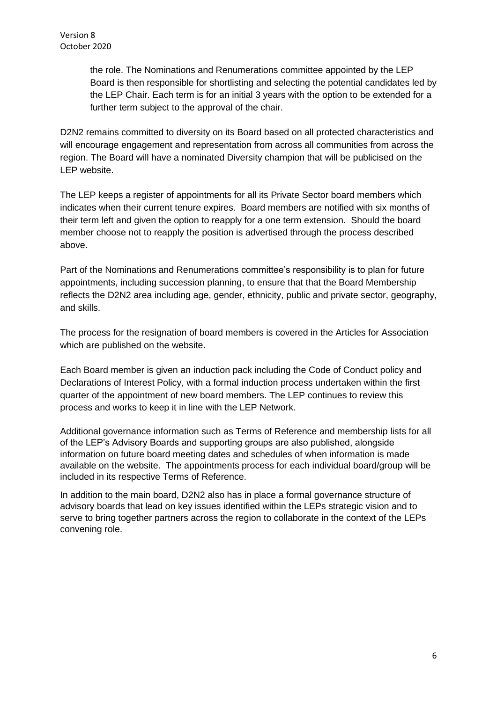the role. The Nominations and Renumerations committee appointed by the LEP Board is then responsible for shortlisting and selecting the potential candidates led by the LEP Chair. Each term is for an initial 3 years with the option to be extended for a further term subject to the approval of the chair.

D2N2 remains committed to diversity on its Board based on all protected characteristics and will encourage engagement and representation from across all communities from across the region. The Board will have a nominated Diversity champion that will be publicised on the LEP website.

The LEP keeps a register of appointments for all its Private Sector board members which indicates when their current tenure expires. Board members are notified with six months of their term left and given the option to reapply for a one term extension. Should the board member choose not to reapply the position is advertised through the process described above.

Part of the Nominations and Renumerations committee's responsibility is to plan for future appointments, including succession planning, to ensure that that the Board Membership reflects the D2N2 area including age, gender, ethnicity, public and private sector, geography, and skills.

The process for the resignation of board members is covered in the Articles for Association which are published on the website.

Each Board member is given an induction pack including the Code of Conduct policy and Declarations of Interest Policy, with a formal induction process undertaken within the first quarter of the appointment of new board members. The LEP continues to review this process and works to keep it in line with the LEP Network.

Additional governance information such as Terms of Reference and membership lists for all of the LEP's Advisory Boards and supporting groups are also published, alongside information on future board meeting dates and schedules of when information is made available on the website. The appointments process for each individual board/group will be included in its respective Terms of Reference.

In addition to the main board, D2N2 also has in place a formal governance structure of advisory boards that lead on key issues identified within the LEPs strategic vision and to serve to bring together partners across the region to collaborate in the context of the LEPs convening role.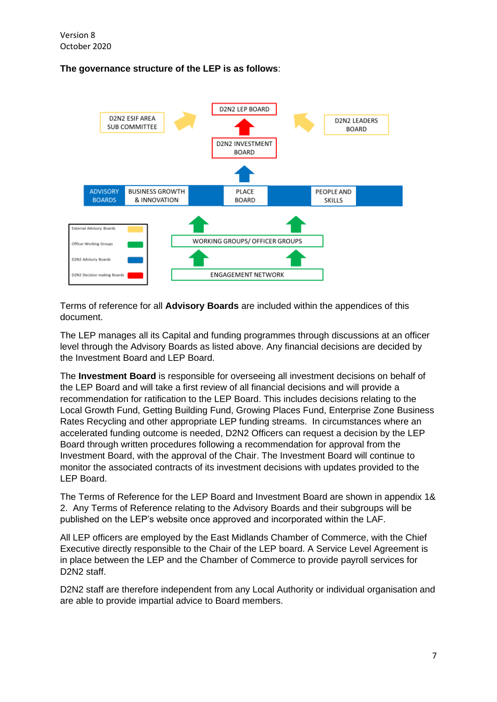# **The governance structure of the LEP is as follows**:



Terms of reference for all **Advisory Boards** are included within the appendices of this document.

The LEP manages all its Capital and funding programmes through discussions at an officer level through the Advisory Boards as listed above. Any financial decisions are decided by the Investment Board and LEP Board.

The **Investment Board** is responsible for overseeing all investment decisions on behalf of the LEP Board and will take a first review of all financial decisions and will provide a recommendation for ratification to the LEP Board. This includes decisions relating to the Local Growth Fund, Getting Building Fund, Growing Places Fund, Enterprise Zone Business Rates Recycling and other appropriate LEP funding streams. In circumstances where an accelerated funding outcome is needed, D2N2 Officers can request a decision by the LEP Board through written procedures following a recommendation for approval from the Investment Board, with the approval of the Chair. The Investment Board will continue to monitor the associated contracts of its investment decisions with updates provided to the LEP Board.

The Terms of Reference for the LEP Board and Investment Board are shown in appendix 1& 2. Any Terms of Reference relating to the Advisory Boards and their subgroups will be published on the LEP's website once approved and incorporated within the LAF.

All LEP officers are employed by the East Midlands Chamber of Commerce, with the Chief Executive directly responsible to the Chair of the LEP board. A Service Level Agreement is in place between the LEP and the Chamber of Commerce to provide payroll services for D<sub>2</sub>N<sub>2</sub> staff.

D2N2 staff are therefore independent from any Local Authority or individual organisation and are able to provide impartial advice to Board members.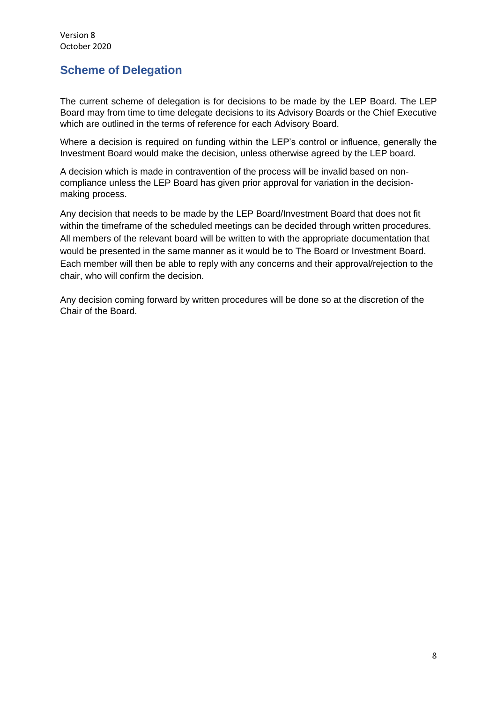# <span id="page-7-0"></span>**Scheme of Delegation**

The current scheme of delegation is for decisions to be made by the LEP Board. The LEP Board may from time to time delegate decisions to its Advisory Boards or the Chief Executive which are outlined in the terms of reference for each Advisory Board.

Where a decision is required on funding within the LEP's control or influence, generally the Investment Board would make the decision, unless otherwise agreed by the LEP board.

A decision which is made in contravention of the process will be invalid based on noncompliance unless the LEP Board has given prior approval for variation in the decisionmaking process.

Any decision that needs to be made by the LEP Board/Investment Board that does not fit within the timeframe of the scheduled meetings can be decided through written procedures. All members of the relevant board will be written to with the appropriate documentation that would be presented in the same manner as it would be to The Board or Investment Board. Each member will then be able to reply with any concerns and their approval/rejection to the chair, who will confirm the decision.

Any decision coming forward by written procedures will be done so at the discretion of the Chair of the Board.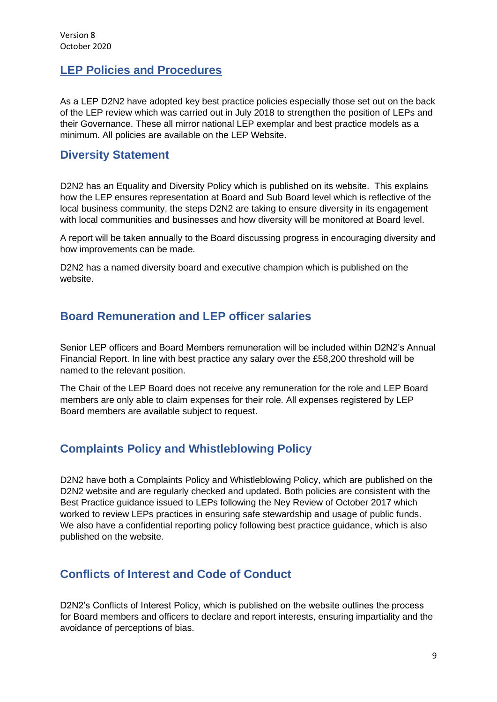# <span id="page-8-0"></span>**LEP Policies and Procedures**

As a LEP D2N2 have adopted key best practice policies especially those set out on the back of the LEP review which was carried out in July 2018 to strengthen the position of LEPs and their Governance. These all mirror national LEP exemplar and best practice models as a minimum. All policies are available on the LEP Website.

# <span id="page-8-1"></span>**Diversity Statement**

D2N2 has an Equality and Diversity Policy which is published on its website. This explains how the LEP ensures representation at Board and Sub Board level which is reflective of the local business community, the steps D2N2 are taking to ensure diversity in its engagement with local communities and businesses and how diversity will be monitored at Board level.

A report will be taken annually to the Board discussing progress in encouraging diversity and how improvements can be made.

D2N2 has a named diversity board and executive champion which is published on the website.

# <span id="page-8-2"></span>**Board Remuneration and LEP officer salaries**

Senior LEP officers and Board Members remuneration will be included within D2N2's Annual Financial Report. In line with best practice any salary over the £58,200 threshold will be named to the relevant position.

The Chair of the LEP Board does not receive any remuneration for the role and LEP Board members are only able to claim expenses for their role. All expenses registered by LEP Board members are available subject to request.

# <span id="page-8-3"></span>**Complaints Policy and Whistleblowing Policy**

D2N2 have both a Complaints Policy and Whistleblowing Policy, which are published on the D2N2 website and are regularly checked and updated. Both policies are consistent with the Best Practice guidance issued to LEPs following the Ney Review of October 2017 which worked to review LEPs practices in ensuring safe stewardship and usage of public funds. We also have a confidential reporting policy following best practice guidance, which is also published on the website.

# <span id="page-8-4"></span>**Conflicts of Interest and Code of Conduct**

D2N2's Conflicts of Interest Policy, which is published on the website outlines the process for Board members and officers to declare and report interests, ensuring impartiality and the avoidance of perceptions of bias.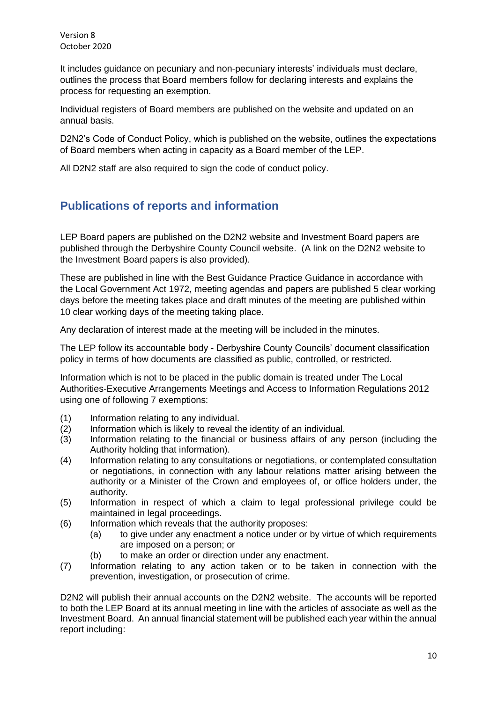It includes guidance on pecuniary and non-pecuniary interests' individuals must declare, outlines the process that Board members follow for declaring interests and explains the process for requesting an exemption.

Individual registers of Board members are published on the website and updated on an annual basis.

D2N2's Code of Conduct Policy, which is published on the website, outlines the expectations of Board members when acting in capacity as a Board member of the LEP.

All D2N2 staff are also required to sign the code of conduct policy.

# <span id="page-9-0"></span>**Publications of reports and information**

LEP Board papers are published on the D2N2 website and Investment Board papers are published through the Derbyshire County Council website. (A link on the D2N2 website to the Investment Board papers is also provided).

These are published in line with the Best Guidance Practice Guidance in accordance with the Local Government Act 1972, meeting agendas and papers are published 5 clear working days before the meeting takes place and draft minutes of the meeting are published within 10 clear working days of the meeting taking place.

Any declaration of interest made at the meeting will be included in the minutes.

The LEP follow its accountable body - Derbyshire County Councils' document classification policy in terms of how documents are classified as public, controlled, or restricted.

Information which is not to be placed in the public domain is treated under The Local Authorities-Executive Arrangements Meetings and Access to Information Regulations 2012 using one of following 7 exemptions:

- (1) Information relating to any individual.
- (2) Information which is likely to reveal the identity of an individual.
- (3) Information relating to the financial or business affairs of any person (including the Authority holding that information).
- (4) Information relating to any consultations or negotiations, or contemplated consultation or negotiations, in connection with any labour relations matter arising between the authority or a Minister of the Crown and employees of, or office holders under, the authority.
- (5) Information in respect of which a claim to legal professional privilege could be maintained in legal proceedings.
- (6) Information which reveals that the authority proposes:
	- (a) to give under any enactment a notice under or by virtue of which requirements are imposed on a person; or
	- (b) to make an order or direction under any enactment.
- (7) Information relating to any action taken or to be taken in connection with the prevention, investigation, or prosecution of crime.

D2N2 will publish their annual accounts on the D2N2 website. The accounts will be reported to both the LEP Board at its annual meeting in line with the articles of associate as well as the Investment Board. An annual financial statement will be published each year within the annual report including: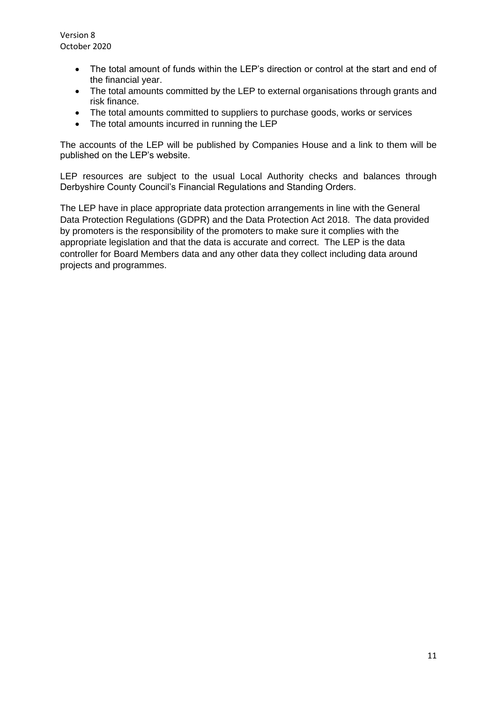- The total amount of funds within the LEP's direction or control at the start and end of the financial year.
- The total amounts committed by the LEP to external organisations through grants and risk finance.
- The total amounts committed to suppliers to purchase goods, works or services
- The total amounts incurred in running the LEP

The accounts of the LEP will be published by Companies House and a link to them will be published on the LEP's website.

LEP resources are subject to the usual Local Authority checks and balances through Derbyshire County Council's Financial Regulations and Standing Orders.

The LEP have in place appropriate data protection arrangements in line with the General Data Protection Regulations (GDPR) and the Data Protection Act 2018. The data provided by promoters is the responsibility of the promoters to make sure it complies with the appropriate legislation and that the data is accurate and correct. The LEP is the data controller for Board Members data and any other data they collect including data around projects and programmes.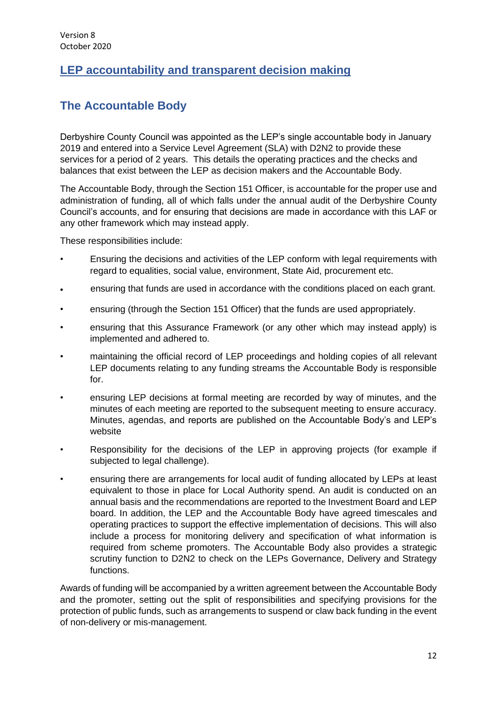# <span id="page-11-0"></span>**LEP accountability and transparent decision making**

# <span id="page-11-1"></span>**The Accountable Body**

Derbyshire County Council was appointed as the LEP's single accountable body in January 2019 and entered into a Service Level Agreement (SLA) with D2N2 to provide these services for a period of 2 years. This details the operating practices and the checks and balances that exist between the LEP as decision makers and the Accountable Body.

The Accountable Body, through the Section 151 Officer, is accountable for the proper use and administration of funding, all of which falls under the annual audit of the Derbyshire County Council's accounts, and for ensuring that decisions are made in accordance with this LAF or any other framework which may instead apply.

These responsibilities include:

- Ensuring the decisions and activities of the LEP conform with legal requirements with regard to equalities, social value, environment, State Aid, procurement etc.
- ensuring that funds are used in accordance with the conditions placed on each grant.
- ensuring (through the Section 151 Officer) that the funds are used appropriately.
- ensuring that this Assurance Framework (or any other which may instead apply) is implemented and adhered to.
- maintaining the official record of LEP proceedings and holding copies of all relevant LEP documents relating to any funding streams the Accountable Body is responsible for.
- ensuring LEP decisions at formal meeting are recorded by way of minutes, and the minutes of each meeting are reported to the subsequent meeting to ensure accuracy. Minutes, agendas, and reports are published on the Accountable Body's and LEP's website
- Responsibility for the decisions of the LEP in approving projects (for example if subjected to legal challenge).
- ensuring there are arrangements for local audit of funding allocated by LEPs at least equivalent to those in place for Local Authority spend. An audit is conducted on an annual basis and the recommendations are reported to the Investment Board and LEP board. In addition, the LEP and the Accountable Body have agreed timescales and operating practices to support the effective implementation of decisions. This will also include a process for monitoring delivery and specification of what information is required from scheme promoters. The Accountable Body also provides a strategic scrutiny function to D2N2 to check on the LEPs Governance, Delivery and Strategy functions.

Awards of funding will be accompanied by a written agreement between the Accountable Body and the promoter, setting out the split of responsibilities and specifying provisions for the protection of public funds, such as arrangements to suspend or claw back funding in the event of non-delivery or mis-management.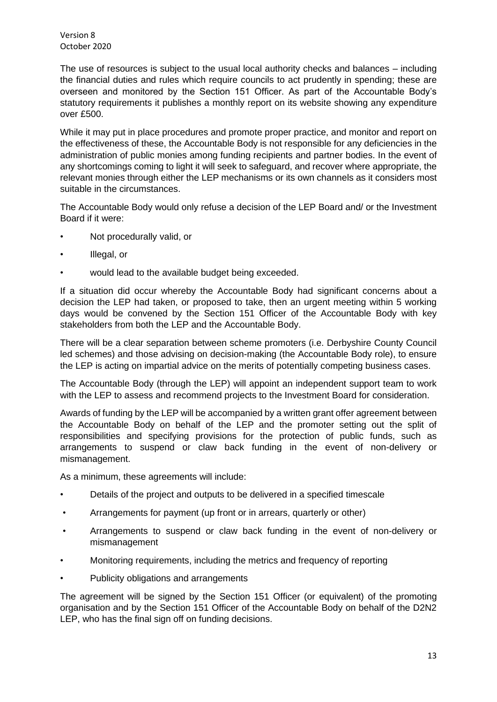The use of resources is subject to the usual local authority checks and balances – including the financial duties and rules which require councils to act prudently in spending; these are overseen and monitored by the Section 151 Officer. As part of the Accountable Body's statutory requirements it publishes a monthly report on its website showing any expenditure over £500.

While it may put in place procedures and promote proper practice, and monitor and report on the effectiveness of these, the Accountable Body is not responsible for any deficiencies in the administration of public monies among funding recipients and partner bodies. In the event of any shortcomings coming to light it will seek to safeguard, and recover where appropriate, the relevant monies through either the LEP mechanisms or its own channels as it considers most suitable in the circumstances.

The Accountable Body would only refuse a decision of the LEP Board and/ or the Investment Board if it were:

- Not procedurally valid, or
- Illegal, or
- would lead to the available budget being exceeded.

If a situation did occur whereby the Accountable Body had significant concerns about a decision the LEP had taken, or proposed to take, then an urgent meeting within 5 working days would be convened by the Section 151 Officer of the Accountable Body with key stakeholders from both the LEP and the Accountable Body.

There will be a clear separation between scheme promoters (i.e. Derbyshire County Council led schemes) and those advising on decision-making (the Accountable Body role), to ensure the LEP is acting on impartial advice on the merits of potentially competing business cases.

The Accountable Body (through the LEP) will appoint an independent support team to work with the LEP to assess and recommend projects to the Investment Board for consideration.

Awards of funding by the LEP will be accompanied by a written grant offer agreement between the Accountable Body on behalf of the LEP and the promoter setting out the split of responsibilities and specifying provisions for the protection of public funds, such as arrangements to suspend or claw back funding in the event of non-delivery or mismanagement.

As a minimum, these agreements will include:

- Details of the project and outputs to be delivered in a specified timescale
- Arrangements for payment (up front or in arrears, quarterly or other)
- Arrangements to suspend or claw back funding in the event of non-delivery or mismanagement
- Monitoring requirements, including the metrics and frequency of reporting
- Publicity obligations and arrangements

The agreement will be signed by the Section 151 Officer (or equivalent) of the promoting organisation and by the Section 151 Officer of the Accountable Body on behalf of the D2N2 LEP, who has the final sign off on funding decisions.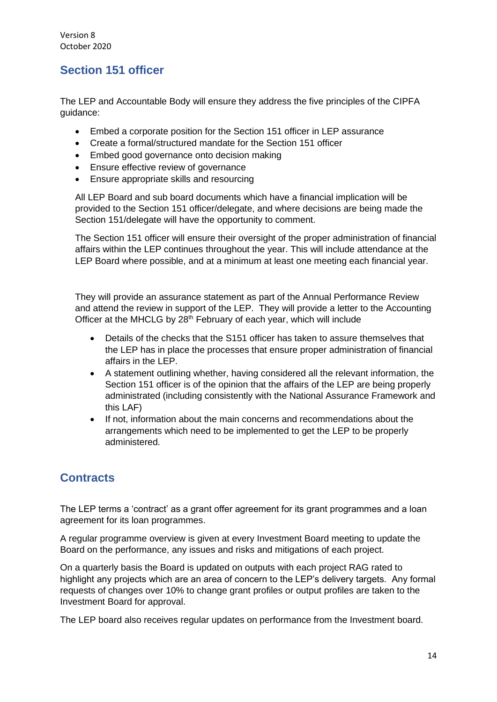# <span id="page-13-0"></span>**Section 151 officer**

The LEP and Accountable Body will ensure they address the five principles of the CIPFA guidance:

- Embed a corporate position for the Section 151 officer in LEP assurance
- Create a formal/structured mandate for the Section 151 officer
- Embed good governance onto decision making
- Ensure effective review of governance
- Ensure appropriate skills and resourcing

All LEP Board and sub board documents which have a financial implication will be provided to the Section 151 officer/delegate, and where decisions are being made the Section 151/delegate will have the opportunity to comment.

The Section 151 officer will ensure their oversight of the proper administration of financial affairs within the LEP continues throughout the year. This will include attendance at the LEP Board where possible, and at a minimum at least one meeting each financial year.

They will provide an assurance statement as part of the Annual Performance Review and attend the review in support of the LEP. They will provide a letter to the Accounting Officer at the MHCLG by 28<sup>th</sup> February of each year, which will include

- Details of the checks that the S151 officer has taken to assure themselves that the LEP has in place the processes that ensure proper administration of financial affairs in the LEP.
- A statement outlining whether, having considered all the relevant information, the Section 151 officer is of the opinion that the affairs of the LEP are being properly administrated (including consistently with the National Assurance Framework and this LAF)
- If not, information about the main concerns and recommendations about the arrangements which need to be implemented to get the LEP to be properly administered.

# <span id="page-13-1"></span>**Contracts**

The LEP terms a 'contract' as a grant offer agreement for its grant programmes and a loan agreement for its loan programmes.

A regular programme overview is given at every Investment Board meeting to update the Board on the performance, any issues and risks and mitigations of each project.

On a quarterly basis the Board is updated on outputs with each project RAG rated to highlight any projects which are an area of concern to the LEP's delivery targets. Any formal requests of changes over 10% to change grant profiles or output profiles are taken to the Investment Board for approval.

The LEP board also receives regular updates on performance from the Investment board.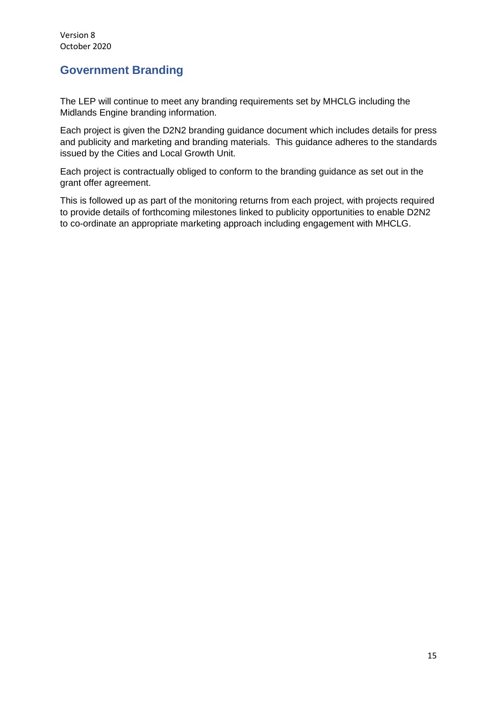# <span id="page-14-0"></span>**Government Branding**

The LEP will continue to meet any branding requirements set by MHCLG including the Midlands Engine branding information.

Each project is given the D2N2 branding guidance document which includes details for press and publicity and marketing and branding materials. This guidance adheres to the standards issued by the Cities and Local Growth Unit.

Each project is contractually obliged to conform to the branding guidance as set out in the grant offer agreement.

This is followed up as part of the monitoring returns from each project, with projects required to provide details of forthcoming milestones linked to publicity opportunities to enable D2N2 to co-ordinate an appropriate marketing approach including engagement with MHCLG.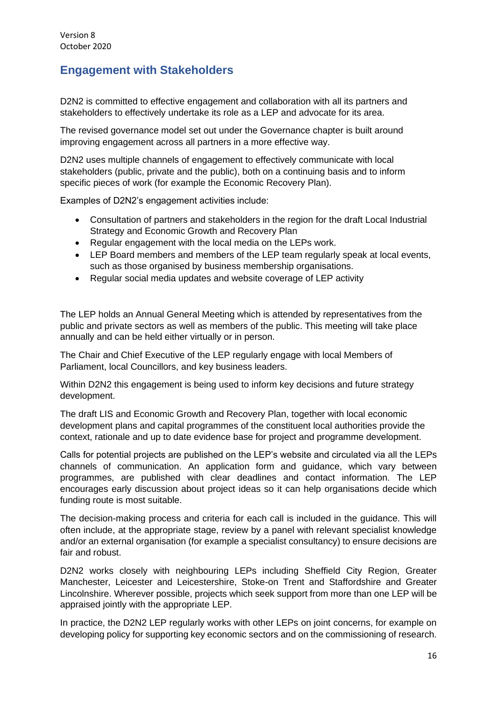# <span id="page-15-0"></span>**Engagement with Stakeholders**

D2N2 is committed to effective engagement and collaboration with all its partners and stakeholders to effectively undertake its role as a LEP and advocate for its area.

The revised governance model set out under the Governance chapter is built around improving engagement across all partners in a more effective way.

D2N2 uses multiple channels of engagement to effectively communicate with local stakeholders (public, private and the public), both on a continuing basis and to inform specific pieces of work (for example the Economic Recovery Plan).

Examples of D2N2's engagement activities include:

- Consultation of partners and stakeholders in the region for the draft Local Industrial Strategy and Economic Growth and Recovery Plan
- Regular engagement with the local media on the LEPs work.
- LEP Board members and members of the LEP team regularly speak at local events, such as those organised by business membership organisations.
- Regular social media updates and website coverage of LEP activity

The LEP holds an Annual General Meeting which is attended by representatives from the public and private sectors as well as members of the public. This meeting will take place annually and can be held either virtually or in person.

The Chair and Chief Executive of the LEP regularly engage with local Members of Parliament, local Councillors, and key business leaders.

Within D2N2 this engagement is being used to inform key decisions and future strategy development.

The draft LIS and Economic Growth and Recovery Plan, together with local economic development plans and capital programmes of the constituent local authorities provide the context, rationale and up to date evidence base for project and programme development.

Calls for potential projects are published on the LEP's website and circulated via all the LEPs channels of communication. An application form and guidance, which vary between programmes, are published with clear deadlines and contact information. The LEP encourages early discussion about project ideas so it can help organisations decide which funding route is most suitable.

The decision-making process and criteria for each call is included in the guidance. This will often include, at the appropriate stage, review by a panel with relevant specialist knowledge and/or an external organisation (for example a specialist consultancy) to ensure decisions are fair and robust.

D2N2 works closely with neighbouring LEPs including Sheffield City Region, Greater Manchester, Leicester and Leicestershire, Stoke-on Trent and Staffordshire and Greater Lincolnshire. Wherever possible, projects which seek support from more than one LEP will be appraised jointly with the appropriate LEP.

In practice, the D2N2 LEP regularly works with other LEPs on joint concerns, for example on developing policy for supporting key economic sectors and on the commissioning of research.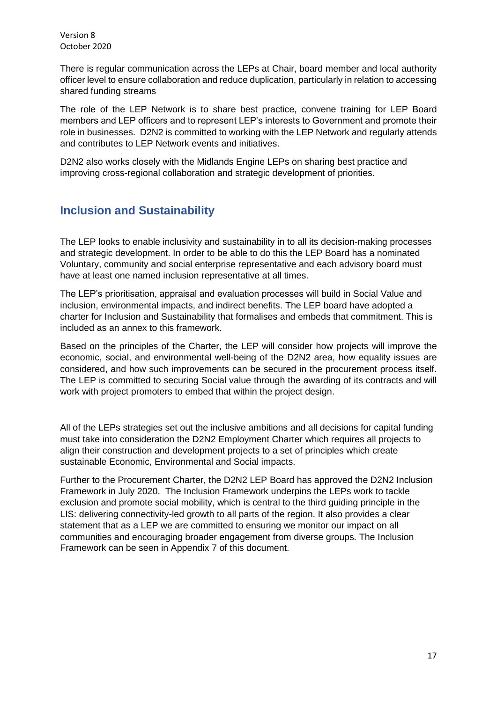There is regular communication across the LEPs at Chair, board member and local authority officer level to ensure collaboration and reduce duplication, particularly in relation to accessing shared funding streams

The role of the LEP Network is to share best practice, convene training for LEP Board members and LEP officers and to represent LEP's interests to Government and promote their role in businesses. D2N2 is committed to working with the LEP Network and regularly attends and contributes to LEP Network events and initiatives.

D2N2 also works closely with the Midlands Engine LEPs on sharing best practice and improving cross-regional collaboration and strategic development of priorities.

# <span id="page-16-0"></span>**Inclusion and Sustainability**

The LEP looks to enable inclusivity and sustainability in to all its decision-making processes and strategic development. In order to be able to do this the LEP Board has a nominated Voluntary, community and social enterprise representative and each advisory board must have at least one named inclusion representative at all times.

The LEP's prioritisation, appraisal and evaluation processes will build in Social Value and inclusion, environmental impacts, and indirect benefits. The LEP board have adopted a charter for Inclusion and Sustainability that formalises and embeds that commitment. This is included as an annex to this framework.

Based on the principles of the Charter, the LEP will consider how projects will improve the economic, social, and environmental well-being of the D2N2 area, how equality issues are considered, and how such improvements can be secured in the procurement process itself. The LEP is committed to securing Social value through the awarding of its contracts and will work with project promoters to embed that within the project design.

All of the LEPs strategies set out the inclusive ambitions and all decisions for capital funding must take into consideration the D2N2 Employment Charter which requires all projects to align their construction and development projects to a set of principles which create sustainable Economic, Environmental and Social impacts.

Further to the Procurement Charter, the D2N2 LEP Board has approved the D2N2 Inclusion Framework in July 2020. The Inclusion Framework underpins the LEPs work to tackle exclusion and promote social mobility, which is central to the third guiding principle in the LIS: delivering connectivity-led growth to all parts of the region. It also provides a clear statement that as a LEP we are committed to ensuring we monitor our impact on all communities and encouraging broader engagement from diverse groups. The Inclusion Framework can be seen in Appendix 7 of this document.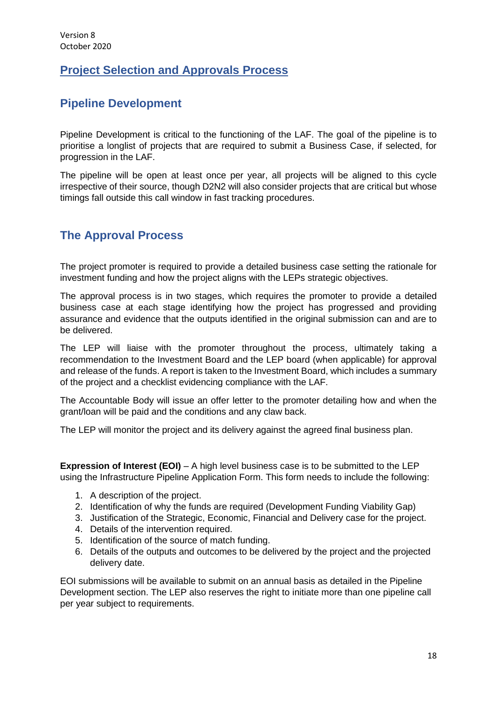# <span id="page-17-0"></span>**Project Selection and Approvals Process**

# <span id="page-17-1"></span>**Pipeline Development**

Pipeline Development is critical to the functioning of the LAF. The goal of the pipeline is to prioritise a longlist of projects that are required to submit a Business Case, if selected, for progression in the LAF.

The pipeline will be open at least once per year, all projects will be aligned to this cycle irrespective of their source, though D2N2 will also consider projects that are critical but whose timings fall outside this call window in fast tracking procedures.

# <span id="page-17-2"></span>**The Approval Process**

The project promoter is required to provide a detailed business case setting the rationale for investment funding and how the project aligns with the LEPs strategic objectives.

The approval process is in two stages, which requires the promoter to provide a detailed business case at each stage identifying how the project has progressed and providing assurance and evidence that the outputs identified in the original submission can and are to be delivered.

The LEP will liaise with the promoter throughout the process, ultimately taking a recommendation to the Investment Board and the LEP board (when applicable) for approval and release of the funds. A report is taken to the Investment Board, which includes a summary of the project and a checklist evidencing compliance with the LAF.

The Accountable Body will issue an offer letter to the promoter detailing how and when the grant/loan will be paid and the conditions and any claw back.

The LEP will monitor the project and its delivery against the agreed final business plan.

**Expression of Interest (EOI)** – A high level business case is to be submitted to the LEP using the Infrastructure Pipeline Application Form. This form needs to include the following:

- 1. A description of the project.
- 2. Identification of why the funds are required (Development Funding Viability Gap)
- 3. Justification of the Strategic, Economic, Financial and Delivery case for the project.
- 4. Details of the intervention required.
- 5. Identification of the source of match funding.
- 6. Details of the outputs and outcomes to be delivered by the project and the projected delivery date.

EOI submissions will be available to submit on an annual basis as detailed in the Pipeline Development section. The LEP also reserves the right to initiate more than one pipeline call per year subject to requirements.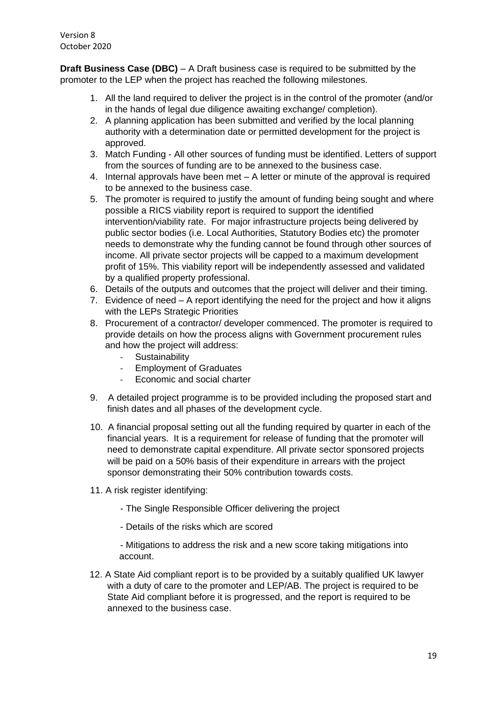**Draft Business Case (DBC)** – A Draft business case is required to be submitted by the promoter to the LEP when the project has reached the following milestones.

- 1. All the land required to deliver the project is in the control of the promoter (and/or in the hands of legal due diligence awaiting exchange/ completion).
- 2. A planning application has been submitted and verified by the local planning authority with a determination date or permitted development for the project is approved.
- 3. Match Funding All other sources of funding must be identified. Letters of support from the sources of funding are to be annexed to the business case.
- 4. Internal approvals have been met A letter or minute of the approval is required to be annexed to the business case.
- 5. The promoter is required to justify the amount of funding being sought and where possible a RICS viability report is required to support the identified intervention/viability rate. For major infrastructure projects being delivered by public sector bodies (i.e. Local Authorities, Statutory Bodies etc) the promoter needs to demonstrate why the funding cannot be found through other sources of income. All private sector projects will be capped to a maximum development profit of 15%. This viability report will be independently assessed and validated by a qualified property professional.
- 6. Details of the outputs and outcomes that the project will deliver and their timing.
- 7. Evidence of need A report identifying the need for the project and how it aligns with the LEPs Strategic Priorities
- 8. Procurement of a contractor/ developer commenced. The promoter is required to provide details on how the process aligns with Government procurement rules and how the project will address:
	- Sustainability
	- Employment of Graduates<br>- Economic and social charte
	- Economic and social charter
- 9. A detailed project programme is to be provided including the proposed start and finish dates and all phases of the development cycle.
- 10. A financial proposal setting out all the funding required by quarter in each of the financial years. It is a requirement for release of funding that the promoter will need to demonstrate capital expenditure. All private sector sponsored projects will be paid on a 50% basis of their expenditure in arrears with the project sponsor demonstrating their 50% contribution towards costs.
- 11. A risk register identifying:
	- The Single Responsible Officer delivering the project
	- Details of the risks which are scored

- Mitigations to address the risk and a new score taking mitigations into account.

12. A State Aid compliant report is to be provided by a suitably qualified UK lawyer with a duty of care to the promoter and LEP/AB. The project is required to be State Aid compliant before it is progressed, and the report is required to be annexed to the business case.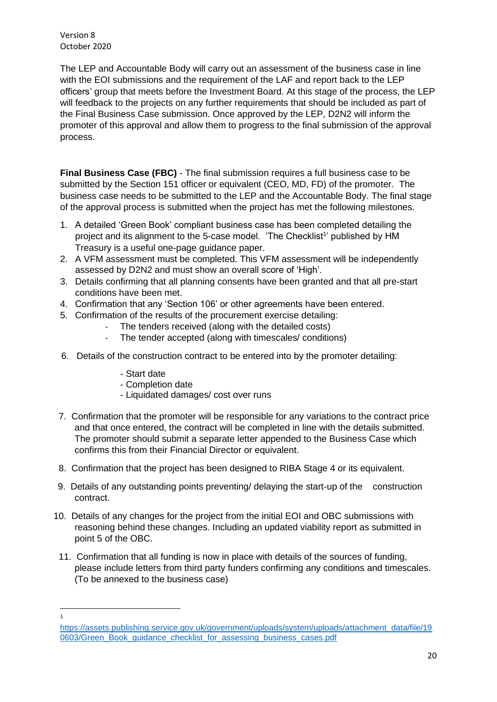The LEP and Accountable Body will carry out an assessment of the business case in line with the EOI submissions and the requirement of the LAF and report back to the LEP officers' group that meets before the Investment Board. At this stage of the process, the LEP will feedback to the projects on any further requirements that should be included as part of the Final Business Case submission. Once approved by the LEP, D2N2 will inform the promoter of this approval and allow them to progress to the final submission of the approval process.

**Final Business Case (FBC)** - The final submission requires a full business case to be submitted by the Section 151 officer or equivalent (CEO, MD, FD) of the promoter. The business case needs to be submitted to the LEP and the Accountable Body. The final stage of the approval process is submitted when the project has met the following milestones.

- 1. A detailed 'Green Book' compliant business case has been completed detailing the project and its alignment to the 5-case model. 'The Checklist<sup>1</sup>' published by HM Treasury is a useful one-page guidance paper.
- 2. A VFM assessment must be completed. This VFM assessment will be independently assessed by D2N2 and must show an overall score of 'High'.
- 3. Details confirming that all planning consents have been granted and that all pre-start conditions have been met.
- 4. Confirmation that any 'Section 106' or other agreements have been entered.
- 5. Confirmation of the results of the procurement exercise detailing:
	- The tenders received (along with the detailed costs)
	- The tender accepted (along with timescales/ conditions)
- 6. Details of the construction contract to be entered into by the promoter detailing:
	- Start date
	- Completion date
	- Liquidated damages/ cost over runs
- 7. Confirmation that the promoter will be responsible for any variations to the contract price and that once entered, the contract will be completed in line with the details submitted. The promoter should submit a separate letter appended to the Business Case which confirms this from their Financial Director or equivalent.
- 8. Confirmation that the project has been designed to RIBA Stage 4 or its equivalent.
- 9. Details of any outstanding points preventing/ delaying the start-up of the construction contract.
- 10. Details of any changes for the project from the initial EOI and OBC submissions with reasoning behind these changes. Including an updated viability report as submitted in point 5 of the OBC.
	- 11. Confirmation that all funding is now in place with details of the sources of funding, please include letters from third party funders confirming any conditions and timescales. (To be annexed to the business case)

<sup>1</sup>

[https://assets.publishing.service.gov.uk/government/uploads/system/uploads/attachment\\_data/file/19](https://assets.publishing.service.gov.uk/government/uploads/system/uploads/attachment_data/file/190603/Green_Book_guidance_checklist_for_assessing_business_cases.pdf) [0603/Green\\_Book\\_guidance\\_checklist\\_for\\_assessing\\_business\\_cases.pdf](https://assets.publishing.service.gov.uk/government/uploads/system/uploads/attachment_data/file/190603/Green_Book_guidance_checklist_for_assessing_business_cases.pdf)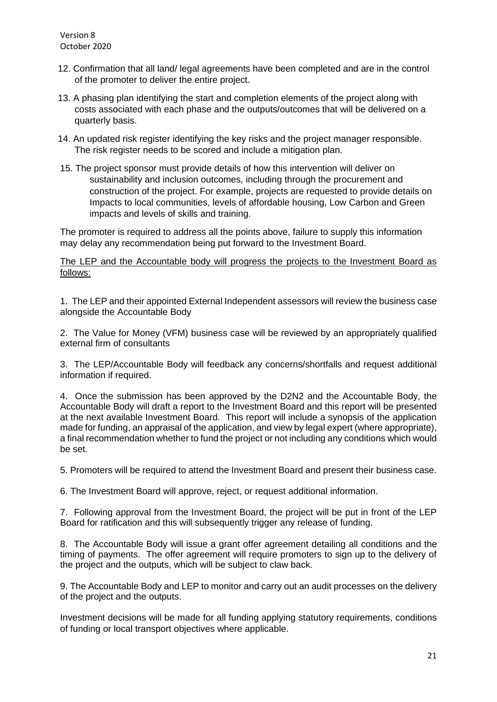- 12. Confirmation that all land/ legal agreements have been completed and are in the control of the promoter to deliver the entire project.
- 13. A phasing plan identifying the start and completion elements of the project along with costs associated with each phase and the outputs/outcomes that will be delivered on a quarterly basis.
- 14. An updated risk register identifying the key risks and the project manager responsible. The risk register needs to be scored and include a mitigation plan.
- 15. The project sponsor must provide details of how this intervention will deliver on sustainability and inclusion outcomes, including through the procurement and construction of the project. For example, projects are requested to provide details on Impacts to local communities, levels of affordable housing, Low Carbon and Green impacts and levels of skills and training.

The promoter is required to address all the points above, failure to supply this information may delay any recommendation being put forward to the Investment Board.

The LEP and the Accountable body will progress the projects to the Investment Board as follows:

1. The LEP and their appointed External Independent assessors will review the business case alongside the Accountable Body

2. The Value for Money (VFM) business case will be reviewed by an appropriately qualified external firm of consultants

3. The LEP/Accountable Body will feedback any concerns/shortfalls and request additional information if required.

4. Once the submission has been approved by the D2N2 and the Accountable Body, the Accountable Body will draft a report to the Investment Board and this report will be presented at the next available Investment Board. This report will include a synopsis of the application made for funding, an appraisal of the application, and view by legal expert (where appropriate), a final recommendation whether to fund the project or not including any conditions which would be set.

5. Promoters will be required to attend the Investment Board and present their business case.

6. The Investment Board will approve, reject, or request additional information.

7. Following approval from the Investment Board, the project will be put in front of the LEP Board for ratification and this will subsequently trigger any release of funding.

8. The Accountable Body will issue a grant offer agreement detailing all conditions and the timing of payments. The offer agreement will require promoters to sign up to the delivery of the project and the outputs, which will be subject to claw back.

9. The Accountable Body and LEP to monitor and carry out an audit processes on the delivery of the project and the outputs.

Investment decisions will be made for all funding applying statutory requirements, conditions of funding or local transport objectives where applicable.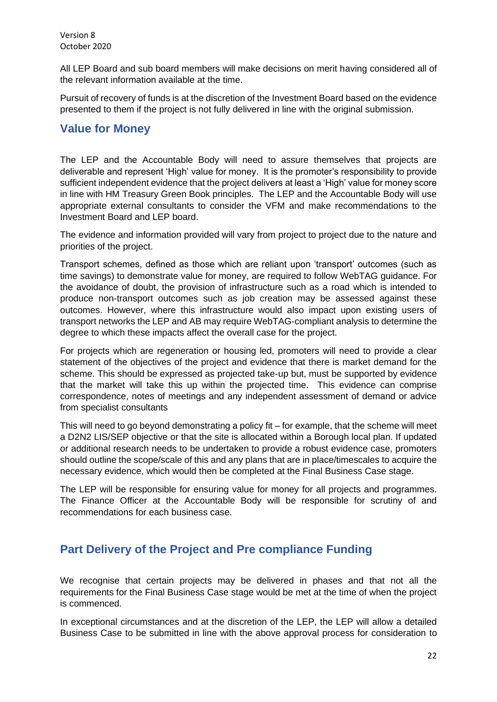All LEP Board and sub board members will make decisions on merit having considered all of the relevant information available at the time.

Pursuit of recovery of funds is at the discretion of the Investment Board based on the evidence presented to them if the project is not fully delivered in line with the original submission.

# <span id="page-21-0"></span>**Value for Money**

The LEP and the Accountable Body will need to assure themselves that projects are deliverable and represent 'High' value for money. It is the promoter's responsibility to provide sufficient independent evidence that the project delivers at least a 'High' value for money score in line with HM Treasury Green Book principles. The LEP and the Accountable Body will use appropriate external consultants to consider the VFM and make recommendations to the Investment Board and LEP board.

The evidence and information provided will vary from project to project due to the nature and priorities of the project.

Transport schemes, defined as those which are reliant upon 'transport' outcomes (such as time savings) to demonstrate value for money, are required to follow WebTAG guidance. For the avoidance of doubt, the provision of infrastructure such as a road which is intended to produce non-transport outcomes such as job creation may be assessed against these outcomes. However, where this infrastructure would also impact upon existing users of transport networks the LEP and AB may require WebTAG-compliant analysis to determine the degree to which these impacts affect the overall case for the project.

For projects which are regeneration or housing led, promoters will need to provide a clear statement of the objectives of the project and evidence that there is market demand for the scheme. This should be expressed as projected take-up but, must be supported by evidence that the market will take this up within the projected time. This evidence can comprise correspondence, notes of meetings and any independent assessment of demand or advice from specialist consultants

This will need to go beyond demonstrating a policy fit – for example, that the scheme will meet a D2N2 LIS/SEP objective or that the site is allocated within a Borough local plan. If updated or additional research needs to be undertaken to provide a robust evidence case, promoters should outline the scope/scale of this and any plans that are in place/timescales to acquire the necessary evidence, which would then be completed at the Final Business Case stage.

The LEP will be responsible for ensuring value for money for all projects and programmes. The Finance Officer at the Accountable Body will be responsible for scrutiny of and recommendations for each business case.

# <span id="page-21-1"></span>**Part Delivery of the Project and Pre compliance Funding**

We recognise that certain projects may be delivered in phases and that not all the requirements for the Final Business Case stage would be met at the time of when the project is commenced.

In exceptional circumstances and at the discretion of the LEP, the LEP will allow a detailed Business Case to be submitted in line with the above approval process for consideration to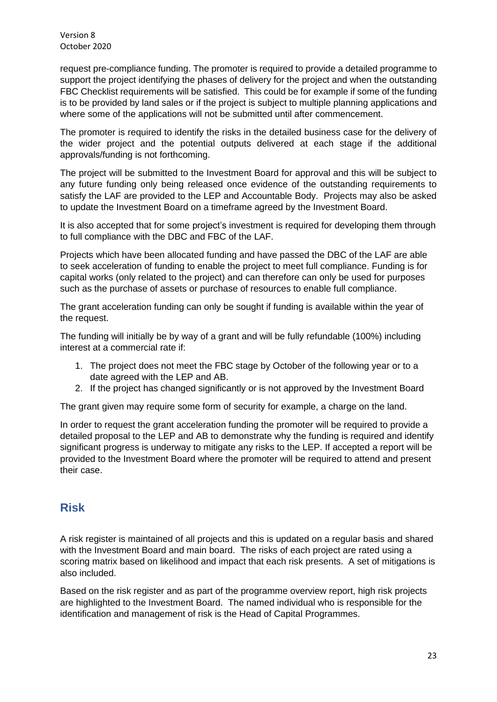request pre-compliance funding. The promoter is required to provide a detailed programme to support the project identifying the phases of delivery for the project and when the outstanding FBC Checklist requirements will be satisfied. This could be for example if some of the funding is to be provided by land sales or if the project is subject to multiple planning applications and where some of the applications will not be submitted until after commencement.

The promoter is required to identify the risks in the detailed business case for the delivery of the wider project and the potential outputs delivered at each stage if the additional approvals/funding is not forthcoming.

The project will be submitted to the Investment Board for approval and this will be subject to any future funding only being released once evidence of the outstanding requirements to satisfy the LAF are provided to the LEP and Accountable Body. Projects may also be asked to update the Investment Board on a timeframe agreed by the Investment Board.

It is also accepted that for some project's investment is required for developing them through to full compliance with the DBC and FBC of the LAF.

Projects which have been allocated funding and have passed the DBC of the LAF are able to seek acceleration of funding to enable the project to meet full compliance. Funding is for capital works (only related to the project) and can therefore can only be used for purposes such as the purchase of assets or purchase of resources to enable full compliance.

The grant acceleration funding can only be sought if funding is available within the year of the request.

The funding will initially be by way of a grant and will be fully refundable (100%) including interest at a commercial rate if:

- 1. The project does not meet the FBC stage by October of the following year or to a date agreed with the LEP and AB.
- 2. If the project has changed significantly or is not approved by the Investment Board

The grant given may require some form of security for example, a charge on the land.

In order to request the grant acceleration funding the promoter will be required to provide a detailed proposal to the LEP and AB to demonstrate why the funding is required and identify significant progress is underway to mitigate any risks to the LEP. If accepted a report will be provided to the Investment Board where the promoter will be required to attend and present their case.

# <span id="page-22-0"></span>**Risk**

A risk register is maintained of all projects and this is updated on a regular basis and shared with the Investment Board and main board. The risks of each project are rated using a scoring matrix based on likelihood and impact that each risk presents. A set of mitigations is also included.

Based on the risk register and as part of the programme overview report, high risk projects are highlighted to the Investment Board. The named individual who is responsible for the identification and management of risk is the Head of Capital Programmes.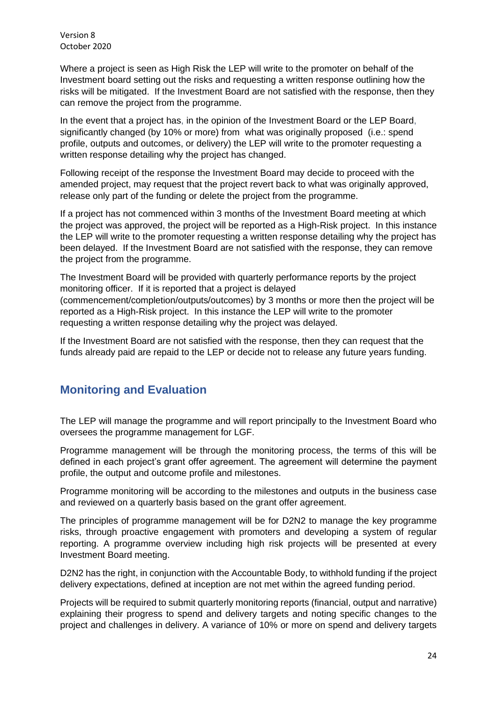Where a project is seen as High Risk the LEP will write to the promoter on behalf of the Investment board setting out the risks and requesting a written response outlining how the risks will be mitigated. If the Investment Board are not satisfied with the response, then they can remove the project from the programme.

In the event that a project has, in the opinion of the Investment Board or the LEP Board, significantly changed (by 10% or more) from what was originally proposed (i.e.: spend profile, outputs and outcomes, or delivery) the LEP will write to the promoter requesting a written response detailing why the project has changed.

Following receipt of the response the Investment Board may decide to proceed with the amended project, may request that the project revert back to what was originally approved, release only part of the funding or delete the project from the programme.

If a project has not commenced within 3 months of the Investment Board meeting at which the project was approved, the project will be reported as a High-Risk project. In this instance the LEP will write to the promoter requesting a written response detailing why the project has been delayed. If the Investment Board are not satisfied with the response, they can remove the project from the programme.

The Investment Board will be provided with quarterly performance reports by the project monitoring officer. If it is reported that a project is delayed (commencement/completion/outputs/outcomes) by 3 months or more then the project will be reported as a High-Risk project. In this instance the LEP will write to the promoter requesting a written response detailing why the project was delayed.

If the Investment Board are not satisfied with the response, then they can request that the funds already paid are repaid to the LEP or decide not to release any future years funding.

# <span id="page-23-0"></span>**Monitoring and Evaluation**

The LEP will manage the programme and will report principally to the Investment Board who oversees the programme management for LGF.

Programme management will be through the monitoring process, the terms of this will be defined in each project's grant offer agreement. The agreement will determine the payment profile, the output and outcome profile and milestones.

Programme monitoring will be according to the milestones and outputs in the business case and reviewed on a quarterly basis based on the grant offer agreement.

The principles of programme management will be for D2N2 to manage the key programme risks, through proactive engagement with promoters and developing a system of regular reporting. A programme overview including high risk projects will be presented at every Investment Board meeting.

D2N2 has the right, in conjunction with the Accountable Body, to withhold funding if the project delivery expectations, defined at inception are not met within the agreed funding period.

Projects will be required to submit quarterly monitoring reports (financial, output and narrative) explaining their progress to spend and delivery targets and noting specific changes to the project and challenges in delivery. A variance of 10% or more on spend and delivery targets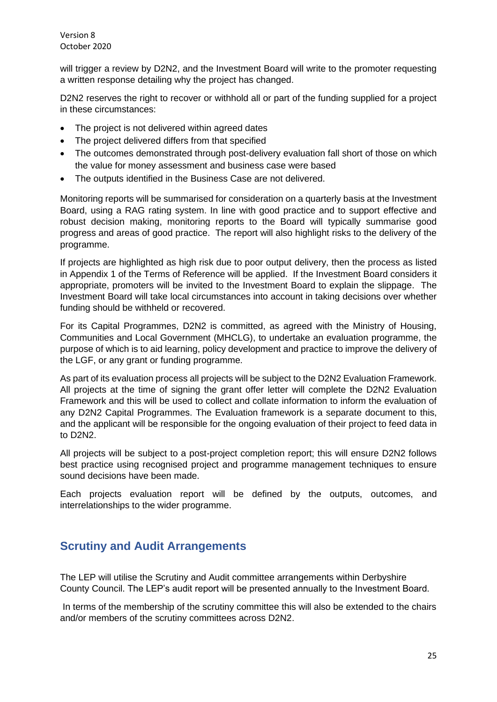will trigger a review by D2N2, and the Investment Board will write to the promoter requesting a written response detailing why the project has changed.

D2N2 reserves the right to recover or withhold all or part of the funding supplied for a project in these circumstances:

- The project is not delivered within agreed dates
- The project delivered differs from that specified
- The outcomes demonstrated through post-delivery evaluation fall short of those on which the value for money assessment and business case were based
- The outputs identified in the Business Case are not delivered.

Monitoring reports will be summarised for consideration on a quarterly basis at the Investment Board, using a RAG rating system. In line with good practice and to support effective and robust decision making, monitoring reports to the Board will typically summarise good progress and areas of good practice. The report will also highlight risks to the delivery of the programme.

If projects are highlighted as high risk due to poor output delivery, then the process as listed in Appendix 1 of the Terms of Reference will be applied. If the Investment Board considers it appropriate, promoters will be invited to the Investment Board to explain the slippage. The Investment Board will take local circumstances into account in taking decisions over whether funding should be withheld or recovered.

For its Capital Programmes, D2N2 is committed, as agreed with the Ministry of Housing, Communities and Local Government (MHCLG), to undertake an evaluation programme, the purpose of which is to aid learning, policy development and practice to improve the delivery of the LGF, or any grant or funding programme.

As part of its evaluation process all projects will be subject to the D2N2 Evaluation Framework. All projects at the time of signing the grant offer letter will complete the D2N2 Evaluation Framework and this will be used to collect and collate information to inform the evaluation of any D2N2 Capital Programmes. The Evaluation framework is a separate document to this, and the applicant will be responsible for the ongoing evaluation of their project to feed data in to D2N2.

All projects will be subject to a post-project completion report; this will ensure D2N2 follows best practice using recognised project and programme management techniques to ensure sound decisions have been made.

Each projects evaluation report will be defined by the outputs, outcomes, and interrelationships to the wider programme.

# <span id="page-24-0"></span>**Scrutiny and Audit Arrangements**

The LEP will utilise the Scrutiny and Audit committee arrangements within Derbyshire County Council. The LEP's audit report will be presented annually to the Investment Board.

In terms of the membership of the scrutiny committee this will also be extended to the chairs and/or members of the scrutiny committees across D2N2.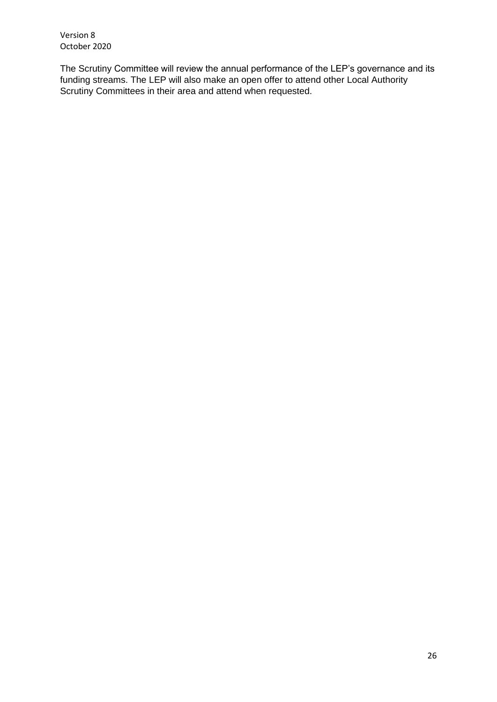The Scrutiny Committee will review the annual performance of the LEP's governance and its funding streams. The LEP will also make an open offer to attend other Local Authority Scrutiny Committees in their area and attend when requested.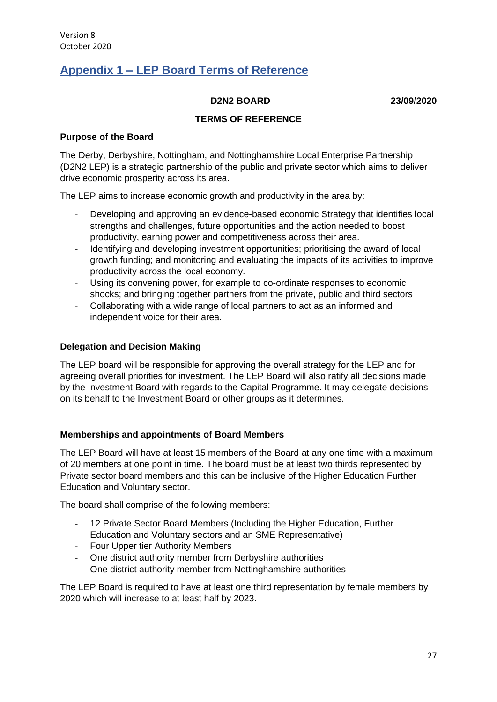# <span id="page-26-0"></span>**Appendix 1 – LEP Board Terms of Reference**

#### **D2N2 BOARD 23/09/2020**

### **TERMS OF REFERENCE**

#### **Purpose of the Board**

The Derby, Derbyshire, Nottingham, and Nottinghamshire Local Enterprise Partnership (D2N2 LEP) is a strategic partnership of the public and private sector which aims to deliver drive economic prosperity across its area.

The LEP aims to increase economic growth and productivity in the area by:

- Developing and approving an evidence-based economic Strategy that identifies local strengths and challenges, future opportunities and the action needed to boost productivity, earning power and competitiveness across their area.
- Identifying and developing investment opportunities; prioritising the award of local growth funding; and monitoring and evaluating the impacts of its activities to improve productivity across the local economy.
- Using its convening power, for example to co-ordinate responses to economic shocks; and bringing together partners from the private, public and third sectors
- Collaborating with a wide range of local partners to act as an informed and independent voice for their area.

#### **Delegation and Decision Making**

The LEP board will be responsible for approving the overall strategy for the LEP and for agreeing overall priorities for investment. The LEP Board will also ratify all decisions made by the Investment Board with regards to the Capital Programme. It may delegate decisions on its behalf to the Investment Board or other groups as it determines.

#### **Memberships and appointments of Board Members**

The LEP Board will have at least 15 members of the Board at any one time with a maximum of 20 members at one point in time. The board must be at least two thirds represented by Private sector board members and this can be inclusive of the Higher Education Further Education and Voluntary sector.

The board shall comprise of the following members:

- 12 Private Sector Board Members (Including the Higher Education, Further Education and Voluntary sectors and an SME Representative)
- Four Upper tier Authority Members
- One district authority member from Derbyshire authorities
- One district authority member from Nottinghamshire authorities

The LEP Board is required to have at least one third representation by female members by 2020 which will increase to at least half by 2023.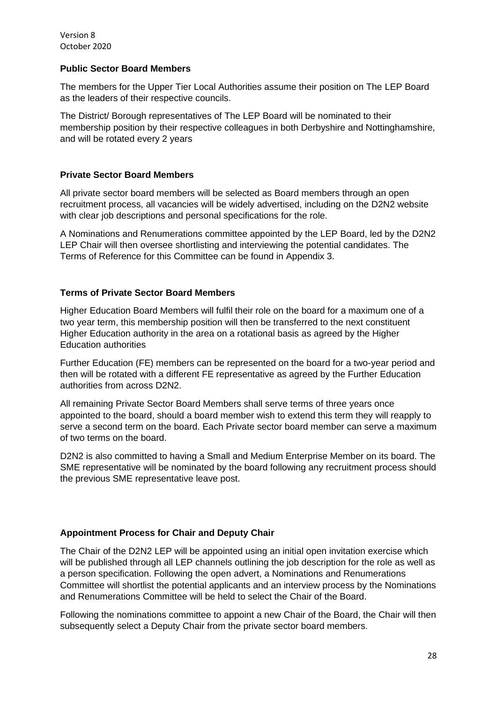### **Public Sector Board Members**

The members for the Upper Tier Local Authorities assume their position on The LEP Board as the leaders of their respective councils.

The District/ Borough representatives of The LEP Board will be nominated to their membership position by their respective colleagues in both Derbyshire and Nottinghamshire, and will be rotated every 2 years

### **Private Sector Board Members**

All private sector board members will be selected as Board members through an open recruitment process, all vacancies will be widely advertised, including on the D2N2 website with clear job descriptions and personal specifications for the role.

A Nominations and Renumerations committee appointed by the LEP Board, led by the D2N2 LEP Chair will then oversee shortlisting and interviewing the potential candidates. The Terms of Reference for this Committee can be found in Appendix 3.

### **Terms of Private Sector Board Members**

Higher Education Board Members will fulfil their role on the board for a maximum one of a two year term, this membership position will then be transferred to the next constituent Higher Education authority in the area on a rotational basis as agreed by the Higher Education authorities

Further Education (FE) members can be represented on the board for a two-year period and then will be rotated with a different FE representative as agreed by the Further Education authorities from across D2N2.

All remaining Private Sector Board Members shall serve terms of three years once appointed to the board, should a board member wish to extend this term they will reapply to serve a second term on the board. Each Private sector board member can serve a maximum of two terms on the board.

D2N2 is also committed to having a Small and Medium Enterprise Member on its board. The SME representative will be nominated by the board following any recruitment process should the previous SME representative leave post.

## **Appointment Process for Chair and Deputy Chair**

The Chair of the D2N2 LEP will be appointed using an initial open invitation exercise which will be published through all LEP channels outlining the job description for the role as well as a person specification. Following the open advert, a Nominations and Renumerations Committee will shortlist the potential applicants and an interview process by the Nominations and Renumerations Committee will be held to select the Chair of the Board.

Following the nominations committee to appoint a new Chair of the Board, the Chair will then subsequently select a Deputy Chair from the private sector board members.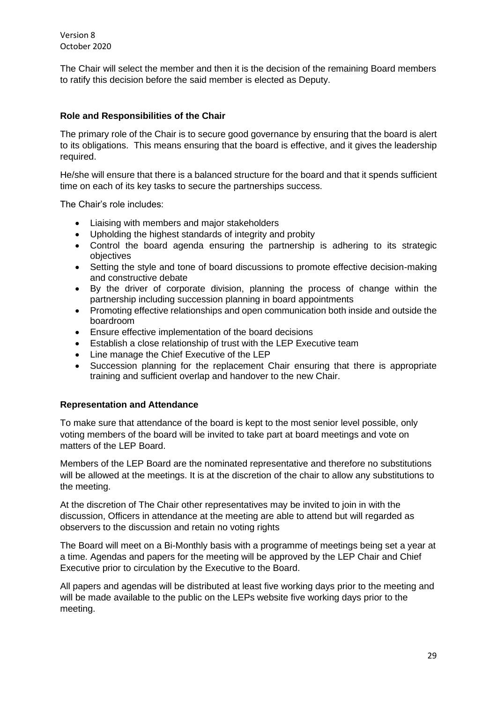The Chair will select the member and then it is the decision of the remaining Board members to ratify this decision before the said member is elected as Deputy.

### **Role and Responsibilities of the Chair**

The primary role of the Chair is to secure good governance by ensuring that the board is alert to its obligations. This means ensuring that the board is effective, and it gives the leadership required.

He/she will ensure that there is a balanced structure for the board and that it spends sufficient time on each of its key tasks to secure the partnerships success.

The Chair's role includes:

- Liaising with members and major stakeholders
- Upholding the highest standards of integrity and probity
- Control the board agenda ensuring the partnership is adhering to its strategic objectives
- Setting the style and tone of board discussions to promote effective decision-making and constructive debate
- By the driver of corporate division, planning the process of change within the partnership including succession planning in board appointments
- Promoting effective relationships and open communication both inside and outside the boardroom
- Ensure effective implementation of the board decisions
- Establish a close relationship of trust with the LEP Executive team
- Line manage the Chief Executive of the LEP
- Succession planning for the replacement Chair ensuring that there is appropriate training and sufficient overlap and handover to the new Chair.

#### **Representation and Attendance**

To make sure that attendance of the board is kept to the most senior level possible, only voting members of the board will be invited to take part at board meetings and vote on matters of the LEP Board.

Members of the LEP Board are the nominated representative and therefore no substitutions will be allowed at the meetings. It is at the discretion of the chair to allow any substitutions to the meeting.

At the discretion of The Chair other representatives may be invited to join in with the discussion, Officers in attendance at the meeting are able to attend but will regarded as observers to the discussion and retain no voting rights

The Board will meet on a Bi-Monthly basis with a programme of meetings being set a year at a time. Agendas and papers for the meeting will be approved by the LEP Chair and Chief Executive prior to circulation by the Executive to the Board.

All papers and agendas will be distributed at least five working days prior to the meeting and will be made available to the public on the LEPs website five working days prior to the meeting.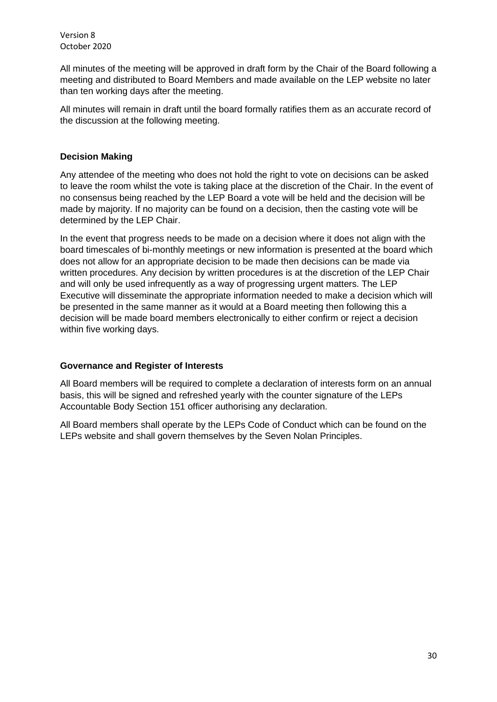All minutes of the meeting will be approved in draft form by the Chair of the Board following a meeting and distributed to Board Members and made available on the LEP website no later than ten working days after the meeting.

All minutes will remain in draft until the board formally ratifies them as an accurate record of the discussion at the following meeting.

### **Decision Making**

Any attendee of the meeting who does not hold the right to vote on decisions can be asked to leave the room whilst the vote is taking place at the discretion of the Chair. In the event of no consensus being reached by the LEP Board a vote will be held and the decision will be made by majority. If no majority can be found on a decision, then the casting vote will be determined by the LEP Chair.

In the event that progress needs to be made on a decision where it does not align with the board timescales of bi-monthly meetings or new information is presented at the board which does not allow for an appropriate decision to be made then decisions can be made via written procedures. Any decision by written procedures is at the discretion of the LEP Chair and will only be used infrequently as a way of progressing urgent matters. The LEP Executive will disseminate the appropriate information needed to make a decision which will be presented in the same manner as it would at a Board meeting then following this a decision will be made board members electronically to either confirm or reject a decision within five working days.

#### **Governance and Register of Interests**

All Board members will be required to complete a declaration of interests form on an annual basis, this will be signed and refreshed yearly with the counter signature of the LEPs Accountable Body Section 151 officer authorising any declaration.

All Board members shall operate by the LEPs Code of Conduct which can be found on the LEPs website and shall govern themselves by the Seven Nolan Principles.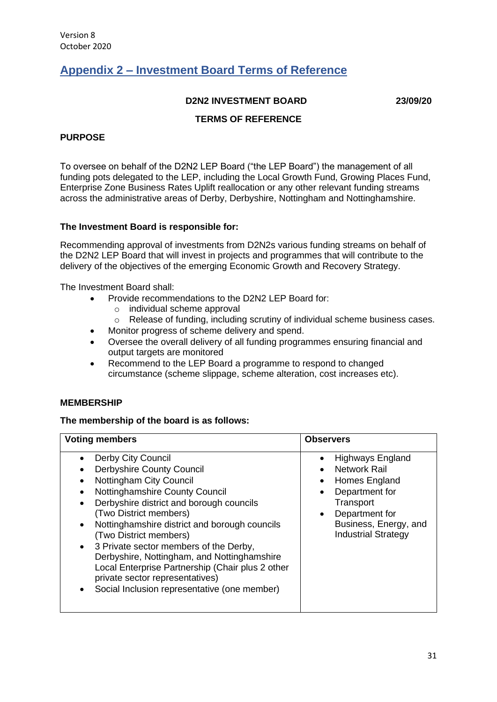# <span id="page-30-0"></span>**Appendix 2 – Investment Board Terms of Reference**

#### **D2N2 INVESTMENT BOARD 23/09/20**

# **TERMS OF REFERENCE**

### **PURPOSE**

To oversee on behalf of the D2N2 LEP Board ("the LEP Board") the management of all funding pots delegated to the LEP, including the Local Growth Fund, Growing Places Fund, Enterprise Zone Business Rates Uplift reallocation or any other relevant funding streams across the administrative areas of Derby, Derbyshire, Nottingham and Nottinghamshire.

#### **The Investment Board is responsible for:**

Recommending approval of investments from D2N2s various funding streams on behalf of the D2N2 LEP Board that will invest in projects and programmes that will contribute to the delivery of the objectives of the emerging Economic Growth and Recovery Strategy.

The Investment Board shall:

- Provide recommendations to the D2N2 LEP Board for:
	- o individual scheme approval
	- o Release of funding, including scrutiny of individual scheme business cases.
- Monitor progress of scheme delivery and spend.
- Oversee the overall delivery of all funding programmes ensuring financial and output targets are monitored
- Recommend to the LEP Board a programme to respond to changed circumstance (scheme slippage, scheme alteration, cost increases etc).

#### **MEMBERSHIP**

#### **The membership of the board is as follows:**

| <b>Voting members</b>                                                                                                                                                                                                                                                                                                                                                                                                                                                                                | <b>Observers</b>                                                                                                                                                              |
|------------------------------------------------------------------------------------------------------------------------------------------------------------------------------------------------------------------------------------------------------------------------------------------------------------------------------------------------------------------------------------------------------------------------------------------------------------------------------------------------------|-------------------------------------------------------------------------------------------------------------------------------------------------------------------------------|
| Derby City Council<br><b>Derbyshire County Council</b><br>Nottingham City Council<br>Nottinghamshire County Council<br>Derbyshire district and borough councils<br>(Two District members)<br>Nottinghamshire district and borough councils<br>(Two District members)<br>3 Private sector members of the Derby,<br>Derbyshire, Nottingham, and Nottinghamshire<br>Local Enterprise Partnership (Chair plus 2 other<br>private sector representatives)<br>Social Inclusion representative (one member) | Highways England<br><b>Network Rail</b><br>Homes England<br>Department for<br>Transport<br>Department for<br>$\bullet$<br>Business, Energy, and<br><b>Industrial Strategy</b> |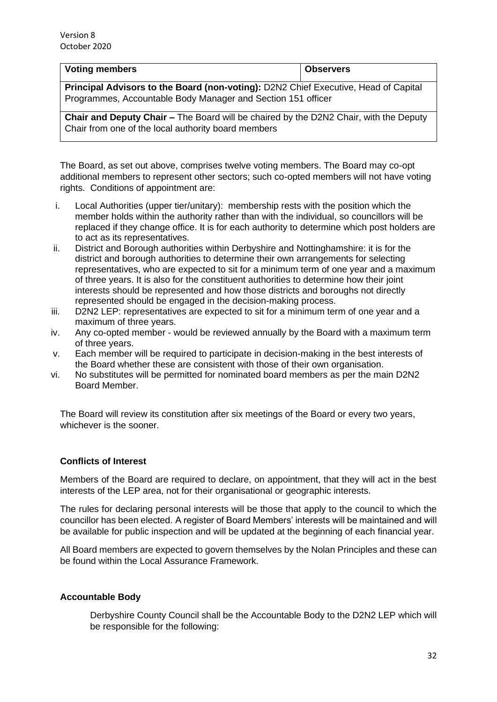| Voting members                                                                             | <b>Observers</b> |  |
|--------------------------------------------------------------------------------------------|------------------|--|
| <b>Principal Advisors to the Board (non-voting):</b> D2N2 Chief Executive, Head of Capital |                  |  |
| Programmes, Accountable Body Manager and Section 151 officer                               |                  |  |

**Chair and Deputy Chair –** The Board will be chaired by the D2N2 Chair, with the Deputy Chair from one of the local authority board members

The Board, as set out above, comprises twelve voting members. The Board may co-opt additional members to represent other sectors; such co-opted members will not have voting rights. Conditions of appointment are:

- i. Local Authorities (upper tier/unitary): membership rests with the position which the member holds within the authority rather than with the individual, so councillors will be replaced if they change office. It is for each authority to determine which post holders are to act as its representatives.
- ii. District and Borough authorities within Derbyshire and Nottinghamshire: it is for the district and borough authorities to determine their own arrangements for selecting representatives, who are expected to sit for a minimum term of one year and a maximum of three years. It is also for the constituent authorities to determine how their joint interests should be represented and how those districts and boroughs not directly represented should be engaged in the decision-making process.
- iii. D2N2 LEP: representatives are expected to sit for a minimum term of one year and a maximum of three years.
- iv. Any co-opted member would be reviewed annually by the Board with a maximum term of three years.
- v. Each member will be required to participate in decision-making in the best interests of the Board whether these are consistent with those of their own organisation.
- vi. No substitutes will be permitted for nominated board members as per the main D2N2 Board Member.

The Board will review its constitution after six meetings of the Board or every two years, whichever is the sooner.

## **Conflicts of Interest**

Members of the Board are required to declare, on appointment, that they will act in the best interests of the LEP area, not for their organisational or geographic interests.

The rules for declaring personal interests will be those that apply to the council to which the councillor has been elected. A register of Board Members' interests will be maintained and will be available for public inspection and will be updated at the beginning of each financial year.

All Board members are expected to govern themselves by the Nolan Principles and these can be found within the Local Assurance Framework.

#### **Accountable Body**

Derbyshire County Council shall be the Accountable Body to the D2N2 LEP which will be responsible for the following: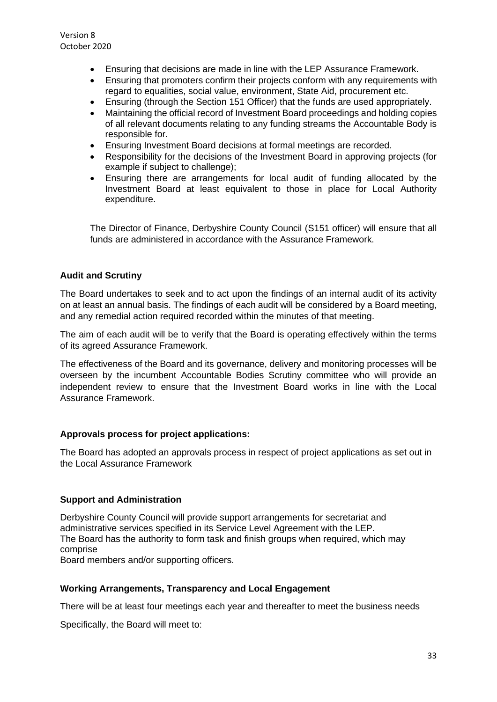- Ensuring that decisions are made in line with the LEP Assurance Framework.
- Ensuring that promoters confirm their projects conform with any requirements with regard to equalities, social value, environment, State Aid, procurement etc.
- Ensuring (through the Section 151 Officer) that the funds are used appropriately.
- Maintaining the official record of Investment Board proceedings and holding copies of all relevant documents relating to any funding streams the Accountable Body is responsible for.
- Ensuring Investment Board decisions at formal meetings are recorded.
- Responsibility for the decisions of the Investment Board in approving projects (for example if subject to challenge);
- Ensuring there are arrangements for local audit of funding allocated by the Investment Board at least equivalent to those in place for Local Authority expenditure.

The Director of Finance, Derbyshire County Council (S151 officer) will ensure that all funds are administered in accordance with the Assurance Framework.

#### **Audit and Scrutiny**

The Board undertakes to seek and to act upon the findings of an internal audit of its activity on at least an annual basis. The findings of each audit will be considered by a Board meeting, and any remedial action required recorded within the minutes of that meeting.

The aim of each audit will be to verify that the Board is operating effectively within the terms of its agreed Assurance Framework.

The effectiveness of the Board and its governance, delivery and monitoring processes will be overseen by the incumbent Accountable Bodies Scrutiny committee who will provide an independent review to ensure that the Investment Board works in line with the Local Assurance Framework.

#### **Approvals process for project applications:**

The Board has adopted an approvals process in respect of project applications as set out in the Local Assurance Framework

#### **Support and Administration**

Derbyshire County Council will provide support arrangements for secretariat and administrative services specified in its Service Level Agreement with the LEP. The Board has the authority to form task and finish groups when required, which may comprise Board members and/or supporting officers.

#### **Working Arrangements, Transparency and Local Engagement**

There will be at least four meetings each year and thereafter to meet the business needs

Specifically, the Board will meet to: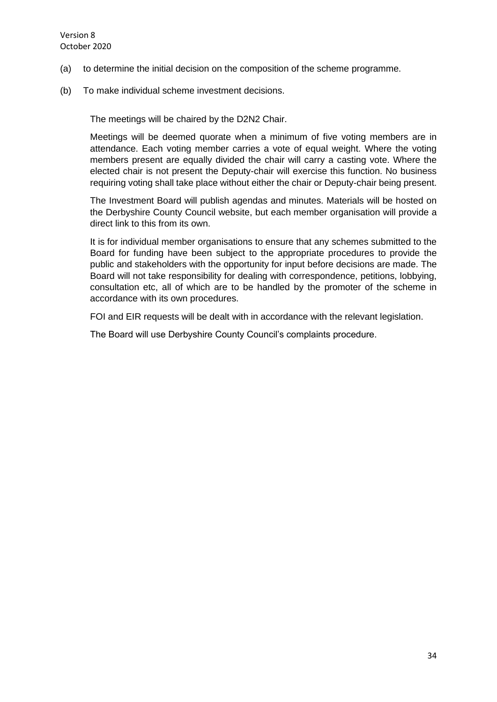- (a) to determine the initial decision on the composition of the scheme programme.
- (b) To make individual scheme investment decisions.

The meetings will be chaired by the D2N2 Chair.

Meetings will be deemed quorate when a minimum of five voting members are in attendance. Each voting member carries a vote of equal weight. Where the voting members present are equally divided the chair will carry a casting vote. Where the elected chair is not present the Deputy-chair will exercise this function. No business requiring voting shall take place without either the chair or Deputy-chair being present.

The Investment Board will publish agendas and minutes. Materials will be hosted on the Derbyshire County Council website, but each member organisation will provide a direct link to this from its own.

It is for individual member organisations to ensure that any schemes submitted to the Board for funding have been subject to the appropriate procedures to provide the public and stakeholders with the opportunity for input before decisions are made. The Board will not take responsibility for dealing with correspondence, petitions, lobbying, consultation etc, all of which are to be handled by the promoter of the scheme in accordance with its own procedures.

FOI and EIR requests will be dealt with in accordance with the relevant legislation.

The Board will use Derbyshire County Council's complaints procedure.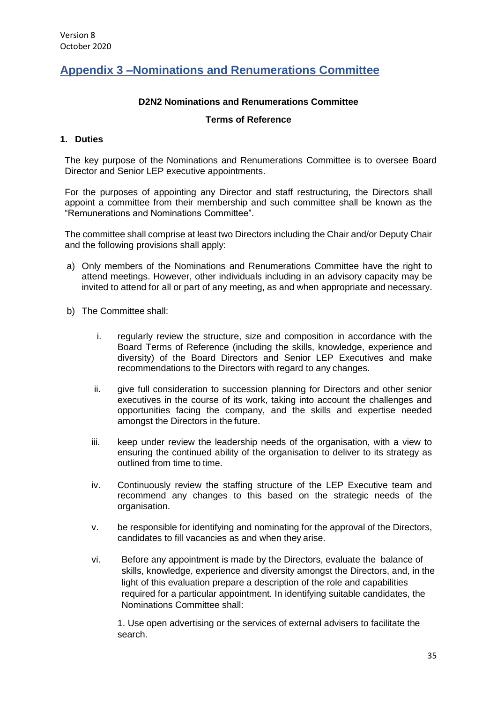# <span id="page-34-0"></span>**Appendix 3 –Nominations and Renumerations Committee**

### **D2N2 Nominations and Renumerations Committee**

#### **Terms of Reference**

#### **1. Duties**

The key purpose of the Nominations and Renumerations Committee is to oversee Board Director and Senior LEP executive appointments.

For the purposes of appointing any Director and staff restructuring, the Directors shall appoint a committee from their membership and such committee shall be known as the "Remunerations and Nominations Committee".

The committee shall comprise at least two Directors including the Chair and/or Deputy Chair and the following provisions shall apply:

- a) Only members of the Nominations and Renumerations Committee have the right to attend meetings. However, other individuals including in an advisory capacity may be invited to attend for all or part of any meeting, as and when appropriate and necessary.
- b) The Committee shall:
	- i. regularly review the structure, size and composition in accordance with the Board Terms of Reference (including the skills, knowledge, experience and diversity) of the Board Directors and Senior LEP Executives and make recommendations to the Directors with regard to any changes.
	- ii. give full consideration to succession planning for Directors and other senior executives in the course of its work, taking into account the challenges and opportunities facing the company, and the skills and expertise needed amongst the Directors in the future.
	- iii. keep under review the leadership needs of the organisation, with a view to ensuring the continued ability of the organisation to deliver to its strategy as outlined from time to time.
	- iv. Continuously review the staffing structure of the LEP Executive team and recommend any changes to this based on the strategic needs of the organisation.
	- v. be responsible for identifying and nominating for the approval of the Directors, candidates to fill vacancies as and when they arise.
	- vi. Before any appointment is made by the Directors, evaluate the balance of skills, knowledge, experience and diversity amongst the Directors, and, in the light of this evaluation prepare a description of the role and capabilities required for a particular appointment. In identifying suitable candidates, the Nominations Committee shall:

1. Use open advertising or the services of external advisers to facilitate the search.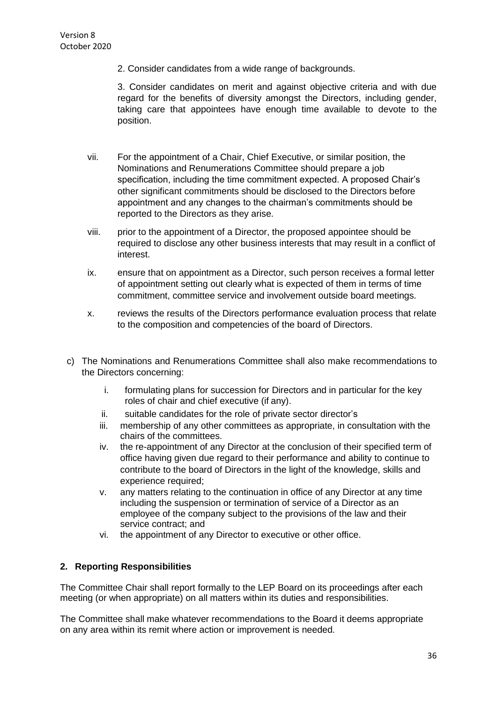2. Consider candidates from a wide range of backgrounds.

3. Consider candidates on merit and against objective criteria and with due regard for the benefits of diversity amongst the Directors, including gender, taking care that appointees have enough time available to devote to the position.

- vii. For the appointment of a Chair, Chief Executive, or similar position, the Nominations and Renumerations Committee should prepare a job specification, including the time commitment expected. A proposed Chair's other significant commitments should be disclosed to the Directors before appointment and any changes to the chairman's commitments should be reported to the Directors as they arise.
- viii. prior to the appointment of a Director, the proposed appointee should be required to disclose any other business interests that may result in a conflict of interest.
- ix. ensure that on appointment as a Director, such person receives a formal letter of appointment setting out clearly what is expected of them in terms of time commitment, committee service and involvement outside board meetings.
- x. reviews the results of the Directors performance evaluation process that relate to the composition and competencies of the board of Directors.
- c) The Nominations and Renumerations Committee shall also make recommendations to the Directors concerning:
	- i. formulating plans for succession for Directors and in particular for the key roles of chair and chief executive (if any).
	- ii. suitable candidates for the role of private sector director's
	- iii. membership of any other committees as appropriate, in consultation with the chairs of the committees.
	- iv. the re-appointment of any Director at the conclusion of their specified term of office having given due regard to their performance and ability to continue to contribute to the board of Directors in the light of the knowledge, skills and experience required;
	- v. any matters relating to the continuation in office of any Director at any time including the suspension or termination of service of a Director as an employee of the company subject to the provisions of the law and their service contract; and
	- vi. the appointment of any Director to executive or other office.

#### **2. Reporting Responsibilities**

The Committee Chair shall report formally to the LEP Board on its proceedings after each meeting (or when appropriate) on all matters within its duties and responsibilities.

The Committee shall make whatever recommendations to the Board it deems appropriate on any area within its remit where action or improvement is needed.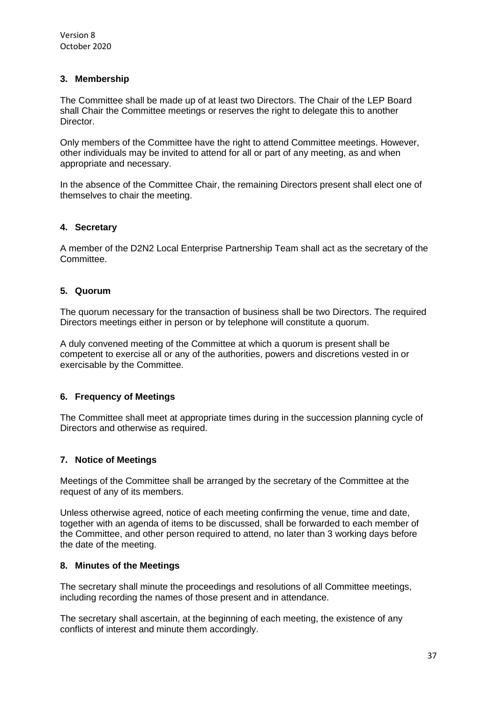### **3. Membership**

The Committee shall be made up of at least two Directors. The Chair of the LEP Board shall Chair the Committee meetings or reserves the right to delegate this to another Director.

Only members of the Committee have the right to attend Committee meetings. However, other individuals may be invited to attend for all or part of any meeting, as and when appropriate and necessary.

In the absence of the Committee Chair, the remaining Directors present shall elect one of themselves to chair the meeting.

### **4. Secretary**

A member of the D2N2 Local Enterprise Partnership Team shall act as the secretary of the **Committee.** 

## **5. Quorum**

The quorum necessary for the transaction of business shall be two Directors. The required Directors meetings either in person or by telephone will constitute a quorum.

A duly convened meeting of the Committee at which a quorum is present shall be competent to exercise all or any of the authorities, powers and discretions vested in or exercisable by the Committee.

#### **6. Frequency of Meetings**

The Committee shall meet at appropriate times during in the succession planning cycle of Directors and otherwise as required.

#### **7. Notice of Meetings**

Meetings of the Committee shall be arranged by the secretary of the Committee at the request of any of its members.

Unless otherwise agreed, notice of each meeting confirming the venue, time and date, together with an agenda of items to be discussed, shall be forwarded to each member of the Committee, and other person required to attend, no later than 3 working days before the date of the meeting.

#### **8. Minutes of the Meetings**

The secretary shall minute the proceedings and resolutions of all Committee meetings, including recording the names of those present and in attendance.

The secretary shall ascertain, at the beginning of each meeting, the existence of any conflicts of interest and minute them accordingly.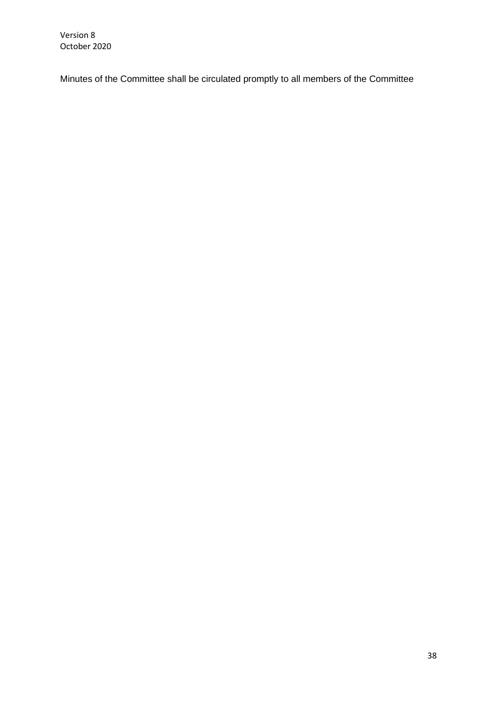Minutes of the Committee shall be circulated promptly to all members of the Committee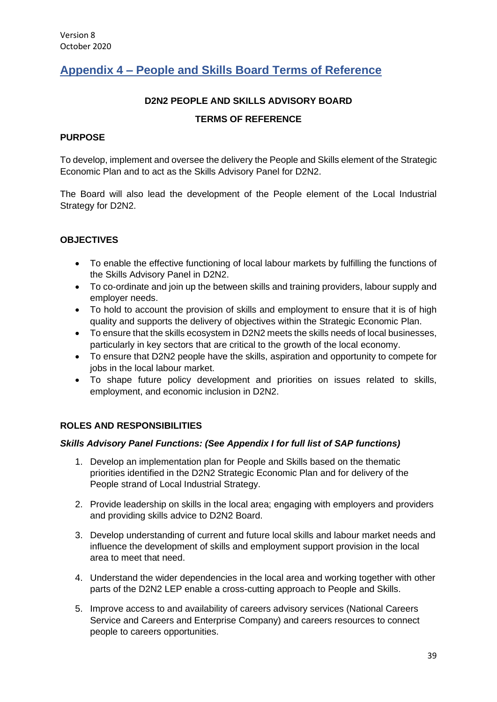# <span id="page-38-0"></span>**Appendix 4 – People and Skills Board Terms of Reference**

## **D2N2 PEOPLE AND SKILLS ADVISORY BOARD**

### **TERMS OF REFERENCE**

#### **PURPOSE**

To develop, implement and oversee the delivery the People and Skills element of the Strategic Economic Plan and to act as the Skills Advisory Panel for D2N2.

The Board will also lead the development of the People element of the Local Industrial Strategy for D2N2.

### **OBJECTIVES**

- To enable the effective functioning of local labour markets by fulfilling the functions of the Skills Advisory Panel in D2N2.
- To co-ordinate and join up the between skills and training providers, labour supply and employer needs.
- To hold to account the provision of skills and employment to ensure that it is of high quality and supports the delivery of objectives within the Strategic Economic Plan.
- To ensure that the skills ecosystem in D2N2 meets the skills needs of local businesses, particularly in key sectors that are critical to the growth of the local economy.
- To ensure that D2N2 people have the skills, aspiration and opportunity to compete for jobs in the local labour market.
- To shape future policy development and priorities on issues related to skills, employment, and economic inclusion in D2N2.

#### **ROLES AND RESPONSIBILITIES**

#### *Skills Advisory Panel Functions: (See Appendix I for full list of SAP functions)*

- 1. Develop an implementation plan for People and Skills based on the thematic priorities identified in the D2N2 Strategic Economic Plan and for delivery of the People strand of Local Industrial Strategy.
- 2. Provide leadership on skills in the local area; engaging with employers and providers and providing skills advice to D2N2 Board.
- 3. Develop understanding of current and future local skills and labour market needs and influence the development of skills and employment support provision in the local area to meet that need.
- 4. Understand the wider dependencies in the local area and working together with other parts of the D2N2 LEP enable a cross-cutting approach to People and Skills.
- 5. Improve access to and availability of careers advisory services (National Careers Service and Careers and Enterprise Company) and careers resources to connect people to careers opportunities.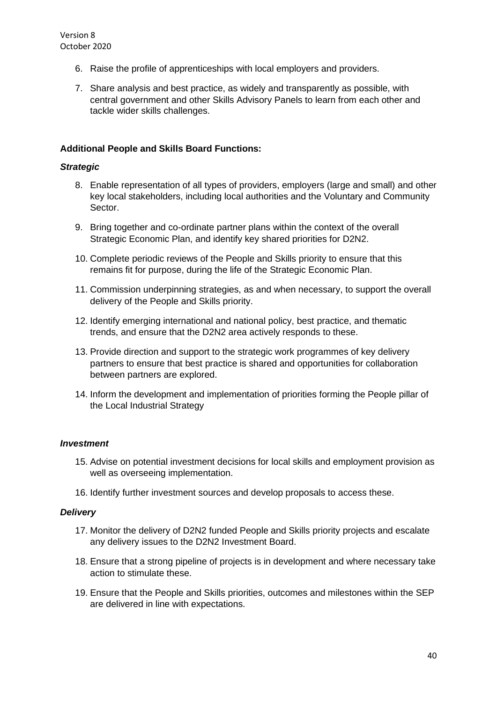- 6. Raise the profile of apprenticeships with local employers and providers.
- 7. Share analysis and best practice, as widely and transparently as possible, with central government and other Skills Advisory Panels to learn from each other and tackle wider skills challenges.

### **Additional People and Skills Board Functions:**

#### *Strategic*

- 8. Enable representation of all types of providers, employers (large and small) and other key local stakeholders, including local authorities and the Voluntary and Community Sector.
- 9. Bring together and co-ordinate partner plans within the context of the overall Strategic Economic Plan, and identify key shared priorities for D2N2.
- 10. Complete periodic reviews of the People and Skills priority to ensure that this remains fit for purpose, during the life of the Strategic Economic Plan.
- 11. Commission underpinning strategies, as and when necessary, to support the overall delivery of the People and Skills priority.
- 12. Identify emerging international and national policy, best practice, and thematic trends, and ensure that the D2N2 area actively responds to these.
- 13. Provide direction and support to the strategic work programmes of key delivery partners to ensure that best practice is shared and opportunities for collaboration between partners are explored.
- 14. Inform the development and implementation of priorities forming the People pillar of the Local Industrial Strategy

#### *Investment*

- 15. Advise on potential investment decisions for local skills and employment provision as well as overseeing implementation.
- 16. Identify further investment sources and develop proposals to access these.

#### *Delivery*

- 17. Monitor the delivery of D2N2 funded People and Skills priority projects and escalate any delivery issues to the D2N2 Investment Board.
- 18. Ensure that a strong pipeline of projects is in development and where necessary take action to stimulate these.
- 19. Ensure that the People and Skills priorities, outcomes and milestones within the SEP are delivered in line with expectations.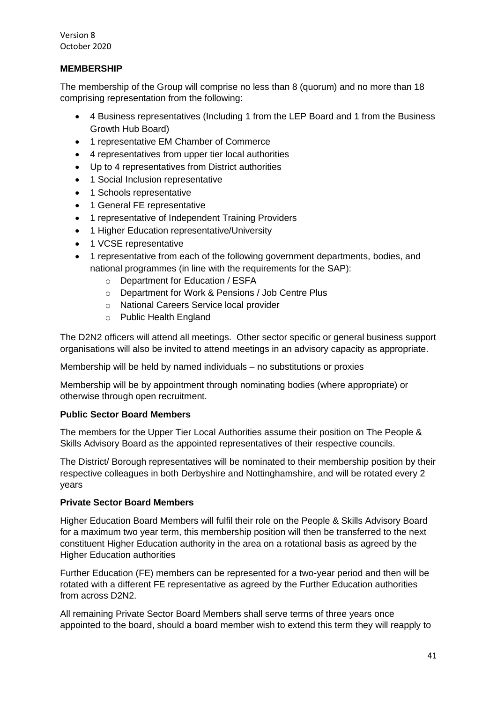### **MEMBERSHIP**

The membership of the Group will comprise no less than 8 (quorum) and no more than 18 comprising representation from the following:

- 4 Business representatives (Including 1 from the LEP Board and 1 from the Business Growth Hub Board)
- 1 representative EM Chamber of Commerce
- 4 representatives from upper tier local authorities
- Up to 4 representatives from District authorities
- 1 Social Inclusion representative
- 1 Schools representative
- 1 General FE representative
- 1 representative of Independent Training Providers
- 1 Higher Education representative/University
- 1 VCSE representative
- 1 representative from each of the following government departments, bodies, and national programmes (in line with the requirements for the SAP):
	- o Department for Education / ESFA
	- o Department for Work & Pensions / Job Centre Plus
	- o National Careers Service local provider
	- o Public Health England

The D2N2 officers will attend all meetings. Other sector specific or general business support organisations will also be invited to attend meetings in an advisory capacity as appropriate.

Membership will be held by named individuals – no substitutions or proxies

Membership will be by appointment through nominating bodies (where appropriate) or otherwise through open recruitment.

#### **Public Sector Board Members**

The members for the Upper Tier Local Authorities assume their position on The People & Skills Advisory Board as the appointed representatives of their respective councils.

The District/ Borough representatives will be nominated to their membership position by their respective colleagues in both Derbyshire and Nottinghamshire, and will be rotated every 2 years

#### **Private Sector Board Members**

Higher Education Board Members will fulfil their role on the People & Skills Advisory Board for a maximum two year term, this membership position will then be transferred to the next constituent Higher Education authority in the area on a rotational basis as agreed by the Higher Education authorities

Further Education (FE) members can be represented for a two-year period and then will be rotated with a different FE representative as agreed by the Further Education authorities from across D2N2.

All remaining Private Sector Board Members shall serve terms of three years once appointed to the board, should a board member wish to extend this term they will reapply to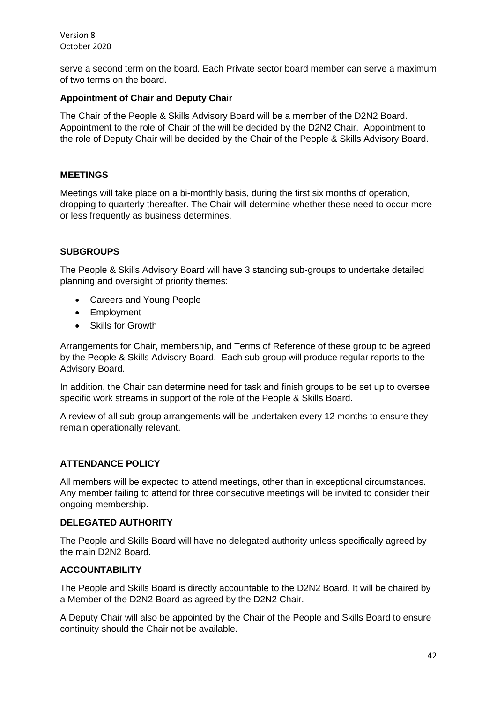serve a second term on the board. Each Private sector board member can serve a maximum of two terms on the board.

#### **Appointment of Chair and Deputy Chair**

The Chair of the People & Skills Advisory Board will be a member of the D2N2 Board. Appointment to the role of Chair of the will be decided by the D2N2 Chair. Appointment to the role of Deputy Chair will be decided by the Chair of the People & Skills Advisory Board.

#### **MEETINGS**

Meetings will take place on a bi-monthly basis, during the first six months of operation, dropping to quarterly thereafter. The Chair will determine whether these need to occur more or less frequently as business determines.

### **SUBGROUPS**

The People & Skills Advisory Board will have 3 standing sub-groups to undertake detailed planning and oversight of priority themes:

- Careers and Young People
- Employment
- Skills for Growth

Arrangements for Chair, membership, and Terms of Reference of these group to be agreed by the People & Skills Advisory Board. Each sub-group will produce regular reports to the Advisory Board.

In addition, the Chair can determine need for task and finish groups to be set up to oversee specific work streams in support of the role of the People & Skills Board.

A review of all sub-group arrangements will be undertaken every 12 months to ensure they remain operationally relevant.

#### **ATTENDANCE POLICY**

All members will be expected to attend meetings, other than in exceptional circumstances. Any member failing to attend for three consecutive meetings will be invited to consider their ongoing membership.

#### **DELEGATED AUTHORITY**

The People and Skills Board will have no delegated authority unless specifically agreed by the main D2N2 Board.

#### **ACCOUNTABILITY**

The People and Skills Board is directly accountable to the D2N2 Board. It will be chaired by a Member of the D2N2 Board as agreed by the D2N2 Chair.

A Deputy Chair will also be appointed by the Chair of the People and Skills Board to ensure continuity should the Chair not be available.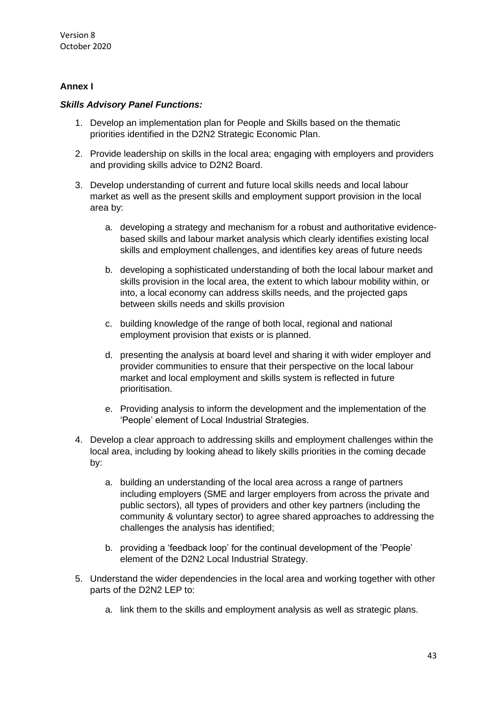## **Annex I**

### *Skills Advisory Panel Functions:*

- 1. Develop an implementation plan for People and Skills based on the thematic priorities identified in the D2N2 Strategic Economic Plan.
- 2. Provide leadership on skills in the local area; engaging with employers and providers and providing skills advice to D2N2 Board.
- 3. Develop understanding of current and future local skills needs and local labour market as well as the present skills and employment support provision in the local area by:
	- a. developing a strategy and mechanism for a robust and authoritative evidencebased skills and labour market analysis which clearly identifies existing local skills and employment challenges, and identifies key areas of future needs
	- b. developing a sophisticated understanding of both the local labour market and skills provision in the local area, the extent to which labour mobility within, or into, a local economy can address skills needs, and the projected gaps between skills needs and skills provision
	- c. building knowledge of the range of both local, regional and national employment provision that exists or is planned.
	- d. presenting the analysis at board level and sharing it with wider employer and provider communities to ensure that their perspective on the local labour market and local employment and skills system is reflected in future prioritisation.
	- e. Providing analysis to inform the development and the implementation of the 'People' element of Local Industrial Strategies.
- 4. Develop a clear approach to addressing skills and employment challenges within the local area, including by looking ahead to likely skills priorities in the coming decade by:
	- a. building an understanding of the local area across a range of partners including employers (SME and larger employers from across the private and public sectors), all types of providers and other key partners (including the community & voluntary sector) to agree shared approaches to addressing the challenges the analysis has identified;
	- b. providing a 'feedback loop' for the continual development of the 'People' element of the D2N2 Local Industrial Strategy.
- 5. Understand the wider dependencies in the local area and working together with other parts of the D2N2 LEP to:
	- a. link them to the skills and employment analysis as well as strategic plans.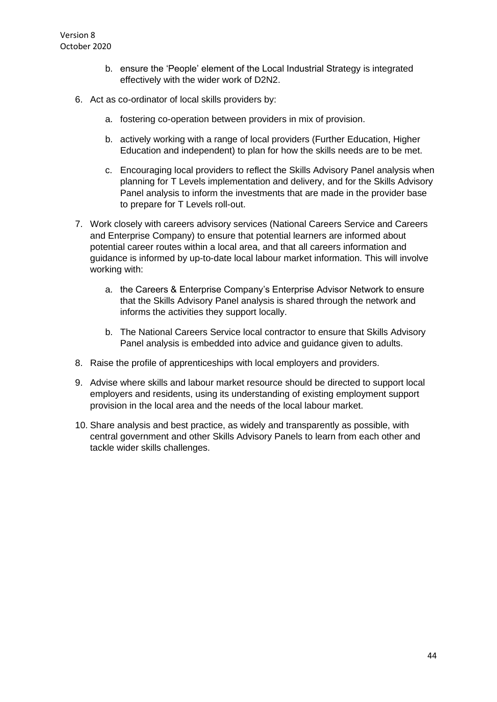- b. ensure the 'People' element of the Local Industrial Strategy is integrated effectively with the wider work of D2N2.
- 6. Act as co-ordinator of local skills providers by:
	- a. fostering co-operation between providers in mix of provision.
	- b. actively working with a range of local providers (Further Education, Higher Education and independent) to plan for how the skills needs are to be met.
	- c. Encouraging local providers to reflect the Skills Advisory Panel analysis when planning for T Levels implementation and delivery, and for the Skills Advisory Panel analysis to inform the investments that are made in the provider base to prepare for T Levels roll-out.
- 7. Work closely with careers advisory services (National Careers Service and Careers and Enterprise Company) to ensure that potential learners are informed about potential career routes within a local area, and that all careers information and guidance is informed by up-to-date local labour market information. This will involve working with:
	- a. the Careers & Enterprise Company's Enterprise Advisor Network to ensure that the Skills Advisory Panel analysis is shared through the network and informs the activities they support locally.
	- b. The National Careers Service local contractor to ensure that Skills Advisory Panel analysis is embedded into advice and guidance given to adults.
- 8. Raise the profile of apprenticeships with local employers and providers.
- 9. Advise where skills and labour market resource should be directed to support local employers and residents, using its understanding of existing employment support provision in the local area and the needs of the local labour market.
- 10. Share analysis and best practice, as widely and transparently as possible, with central government and other Skills Advisory Panels to learn from each other and tackle wider skills challenges.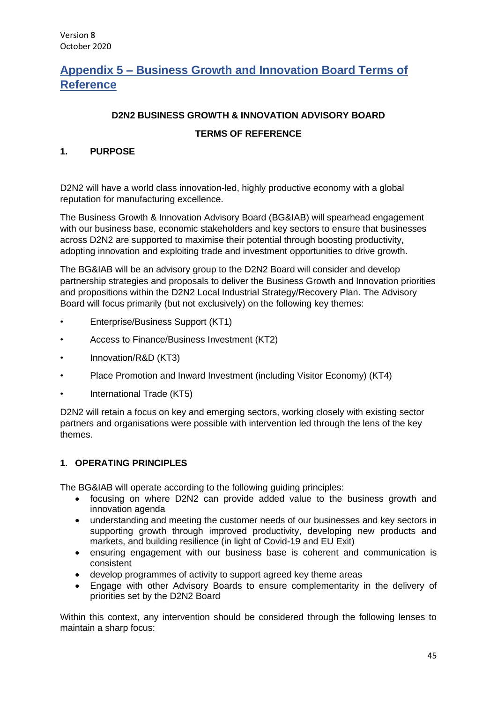# <span id="page-44-0"></span>**Appendix 5 – Business Growth and Innovation Board Terms of Reference**

# **D2N2 BUSINESS GROWTH & INNOVATION ADVISORY BOARD**

### **TERMS OF REFERENCE**

### **1. PURPOSE**

D2N2 will have a world class innovation-led, highly productive economy with a global reputation for manufacturing excellence.

The Business Growth & Innovation Advisory Board (BG&IAB) will spearhead engagement with our business base, economic stakeholders and key sectors to ensure that businesses across D2N2 are supported to maximise their potential through boosting productivity, adopting innovation and exploiting trade and investment opportunities to drive growth.

The BG&IAB will be an advisory group to the D2N2 Board will consider and develop partnership strategies and proposals to deliver the Business Growth and Innovation priorities and propositions within the D2N2 Local Industrial Strategy/Recovery Plan. The Advisory Board will focus primarily (but not exclusively) on the following key themes:

- Enterprise/Business Support (KT1)
- Access to Finance/Business Investment (KT2)
- Innovation/R&D (KT3)
- Place Promotion and Inward Investment (including Visitor Economy) (KT4)
- International Trade (KT5)

D2N2 will retain a focus on key and emerging sectors, working closely with existing sector partners and organisations were possible with intervention led through the lens of the key themes.

## **1. OPERATING PRINCIPLES**

The BG&IAB will operate according to the following guiding principles:

- focusing on where D2N2 can provide added value to the business growth and innovation agenda
- understanding and meeting the customer needs of our businesses and key sectors in supporting growth through improved productivity, developing new products and markets, and building resilience (in light of Covid-19 and EU Exit)
- ensuring engagement with our business base is coherent and communication is consistent
- develop programmes of activity to support agreed key theme areas
- Engage with other Advisory Boards to ensure complementarity in the delivery of priorities set by the D2N2 Board

Within this context, any intervention should be considered through the following lenses to maintain a sharp focus: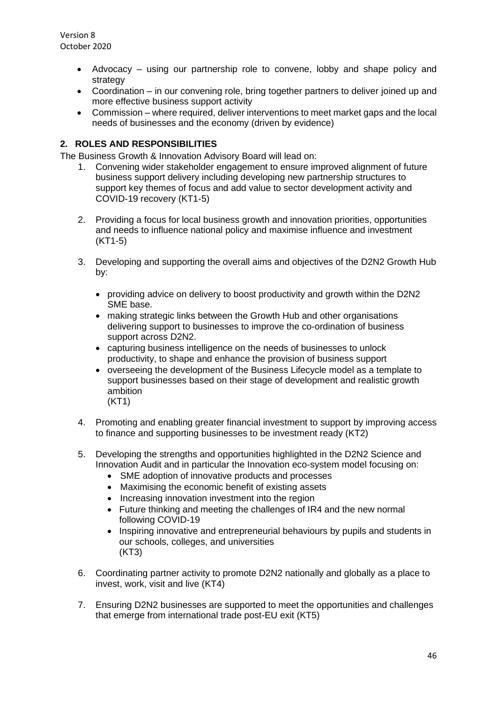- Advocacy using our partnership role to convene, lobby and shape policy and strategy
- Coordination in our convening role, bring together partners to deliver joined up and more effective business support activity
- Commission where required, deliver interventions to meet market gaps and the local needs of businesses and the economy (driven by evidence)

## **2. ROLES AND RESPONSIBILITIES**

The Business Growth & Innovation Advisory Board will lead on:

- 1. Convening wider stakeholder engagement to ensure improved alignment of future business support delivery including developing new partnership structures to support key themes of focus and add value to sector development activity and COVID-19 recovery (KT1-5)
- 2. Providing a focus for local business growth and innovation priorities, opportunities and needs to influence national policy and maximise influence and investment (KT1-5)
- 3. Developing and supporting the overall aims and objectives of the D2N2 Growth Hub by:
	- providing advice on delivery to boost productivity and growth within the D2N2 SME base.
	- making strategic links between the Growth Hub and other organisations delivering support to businesses to improve the co-ordination of business support across D2N2.
	- capturing business intelligence on the needs of businesses to unlock productivity, to shape and enhance the provision of business support
	- overseeing the development of the Business Lifecycle model as a template to support businesses based on their stage of development and realistic growth ambition (KT1)
- 4. Promoting and enabling greater financial investment to support by improving access to finance and supporting businesses to be investment ready (KT2)
- 5. Developing the strengths and opportunities highlighted in the D2N2 Science and Innovation Audit and in particular the Innovation eco-system model focusing on:
	- SME adoption of innovative products and processes
	- Maximising the economic benefit of existing assets
	- Increasing innovation investment into the region
	- Future thinking and meeting the challenges of IR4 and the new normal following COVID-19
	- Inspiring innovative and entrepreneurial behaviours by pupils and students in our schools, colleges, and universities (KT3)
- 6. Coordinating partner activity to promote D2N2 nationally and globally as a place to invest, work, visit and live (KT4)
- 7. Ensuring D2N2 businesses are supported to meet the opportunities and challenges that emerge from international trade post-EU exit (KT5)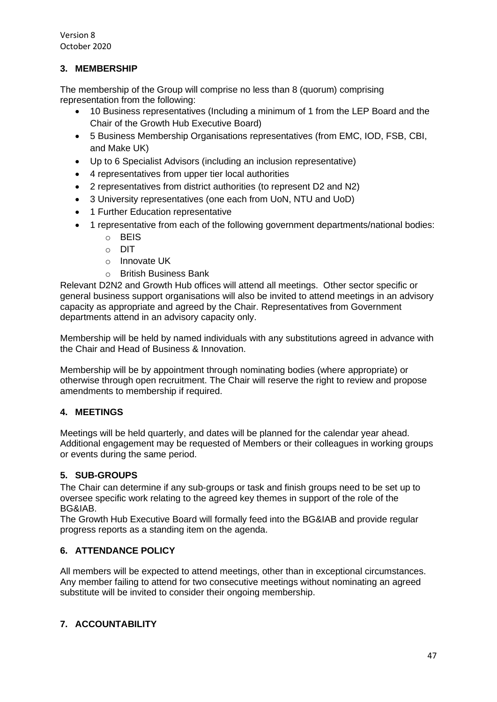# **3. MEMBERSHIP**

The membership of the Group will comprise no less than 8 (quorum) comprising representation from the following:

- 10 Business representatives (Including a minimum of 1 from the LEP Board and the Chair of the Growth Hub Executive Board)
- 5 Business Membership Organisations representatives (from EMC, IOD, FSB, CBI, and Make UK)
- Up to 6 Specialist Advisors (including an inclusion representative)
- 4 representatives from upper tier local authorities
- 2 representatives from district authorities (to represent D2 and N2)
- 3 University representatives (one each from UoN, NTU and UoD)
- 1 Further Education representative
- 1 representative from each of the following government departments/national bodies:
	- o BEIS
	- o DIT
	- o Innovate UK
	- o British Business Bank

Relevant D2N2 and Growth Hub offices will attend all meetings. Other sector specific or general business support organisations will also be invited to attend meetings in an advisory capacity as appropriate and agreed by the Chair. Representatives from Government departments attend in an advisory capacity only.

Membership will be held by named individuals with any substitutions agreed in advance with the Chair and Head of Business & Innovation.

Membership will be by appointment through nominating bodies (where appropriate) or otherwise through open recruitment. The Chair will reserve the right to review and propose amendments to membership if required.

## **4. MEETINGS**

Meetings will be held quarterly, and dates will be planned for the calendar year ahead. Additional engagement may be requested of Members or their colleagues in working groups or events during the same period.

## **5. SUB-GROUPS**

The Chair can determine if any sub-groups or task and finish groups need to be set up to oversee specific work relating to the agreed key themes in support of the role of the BG&IAB.

The Growth Hub Executive Board will formally feed into the BG&IAB and provide regular progress reports as a standing item on the agenda.

## **6. ATTENDANCE POLICY**

All members will be expected to attend meetings, other than in exceptional circumstances. Any member failing to attend for two consecutive meetings without nominating an agreed substitute will be invited to consider their ongoing membership.

## **7. ACCOUNTABILITY**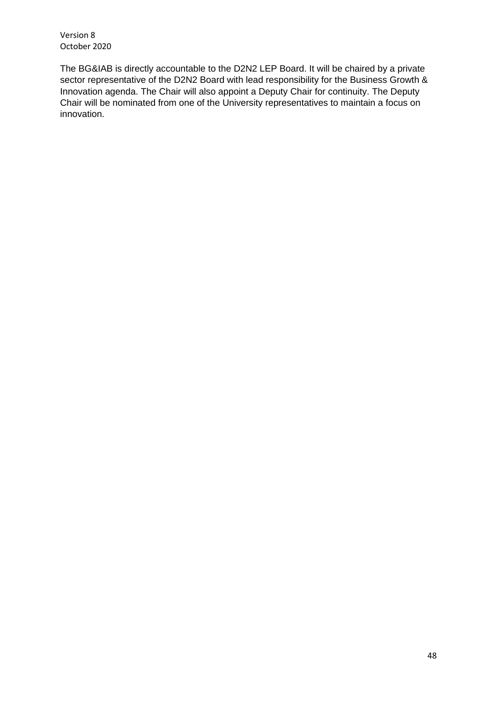The BG&IAB is directly accountable to the D2N2 LEP Board. It will be chaired by a private sector representative of the D2N2 Board with lead responsibility for the Business Growth & Innovation agenda. The Chair will also appoint a Deputy Chair for continuity. The Deputy Chair will be nominated from one of the University representatives to maintain a focus on innovation.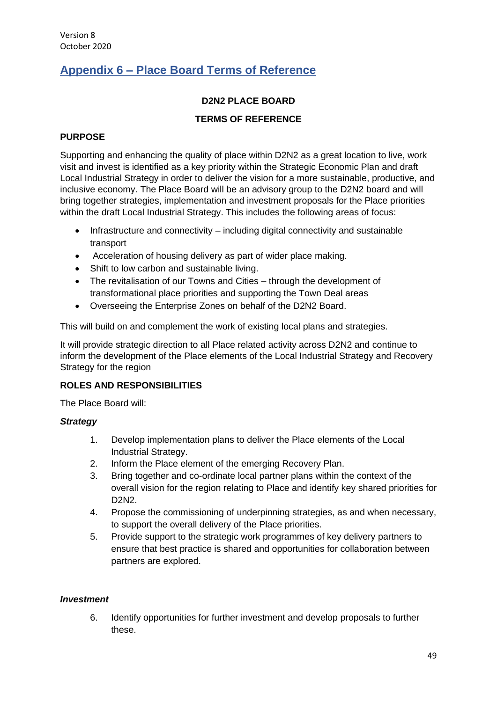# <span id="page-48-0"></span>**Appendix 6 – Place Board Terms of Reference**

## **D2N2 PLACE BOARD**

# **TERMS OF REFERENCE**

### **PURPOSE**

Supporting and enhancing the quality of place within D2N2 as a great location to live, work visit and invest is identified as a key priority within the Strategic Economic Plan and draft Local Industrial Strategy in order to deliver the vision for a more sustainable, productive, and inclusive economy. The Place Board will be an advisory group to the D2N2 board and will bring together strategies, implementation and investment proposals for the Place priorities within the draft Local Industrial Strategy. This includes the following areas of focus:

- Infrastructure and connectivity including digital connectivity and sustainable transport
- Acceleration of housing delivery as part of wider place making.
- Shift to low carbon and sustainable living.
- The revitalisation of our Towns and Cities through the development of transformational place priorities and supporting the Town Deal areas
- Overseeing the Enterprise Zones on behalf of the D2N2 Board.

This will build on and complement the work of existing local plans and strategies.

It will provide strategic direction to all Place related activity across D2N2 and continue to inform the development of the Place elements of the Local Industrial Strategy and Recovery Strategy for the region

## **ROLES AND RESPONSIBILITIES**

The Place Board will:

#### *Strategy*

- 1. Develop implementation plans to deliver the Place elements of the Local Industrial Strategy.
- 2. Inform the Place element of the emerging Recovery Plan.
- 3. Bring together and co-ordinate local partner plans within the context of the overall vision for the region relating to Place and identify key shared priorities for D2N2.
- 4. Propose the commissioning of underpinning strategies, as and when necessary, to support the overall delivery of the Place priorities.
- 5. Provide support to the strategic work programmes of key delivery partners to ensure that best practice is shared and opportunities for collaboration between partners are explored.

#### *Investment*

6. Identify opportunities for further investment and develop proposals to further these.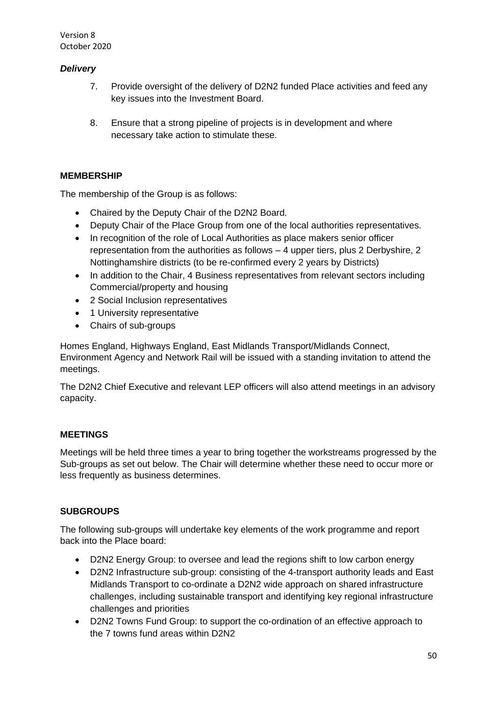# *Delivery*

- 7. Provide oversight of the delivery of D2N2 funded Place activities and feed any key issues into the Investment Board.
- 8. Ensure that a strong pipeline of projects is in development and where necessary take action to stimulate these.

# **MEMBERSHIP**

The membership of the Group is as follows:

- Chaired by the Deputy Chair of the D2N2 Board.
- Deputy Chair of the Place Group from one of the local authorities representatives.
- In recognition of the role of Local Authorities as place makers senior officer representation from the authorities as follows – 4 upper tiers, plus 2 Derbyshire, 2 Nottinghamshire districts (to be re-confirmed every 2 years by Districts)
- In addition to the Chair, 4 Business representatives from relevant sectors including Commercial/property and housing
- 2 Social Inclusion representatives
- 1 University representative
- Chairs of sub-groups

Homes England, Highways England, East Midlands Transport/Midlands Connect, Environment Agency and Network Rail will be issued with a standing invitation to attend the meetings.

The D2N2 Chief Executive and relevant LEP officers will also attend meetings in an advisory capacity.

# **MEETINGS**

Meetings will be held three times a year to bring together the workstreams progressed by the Sub-groups as set out below. The Chair will determine whether these need to occur more or less frequently as business determines.

# **SUBGROUPS**

The following sub-groups will undertake key elements of the work programme and report back into the Place board:

- D2N2 Energy Group: to oversee and lead the regions shift to low carbon energy
- D2N2 Infrastructure sub-group: consisting of the 4-transport authority leads and East Midlands Transport to co-ordinate a D2N2 wide approach on shared infrastructure challenges, including sustainable transport and identifying key regional infrastructure challenges and priorities
- D2N2 Towns Fund Group: to support the co-ordination of an effective approach to the 7 towns fund areas within D2N2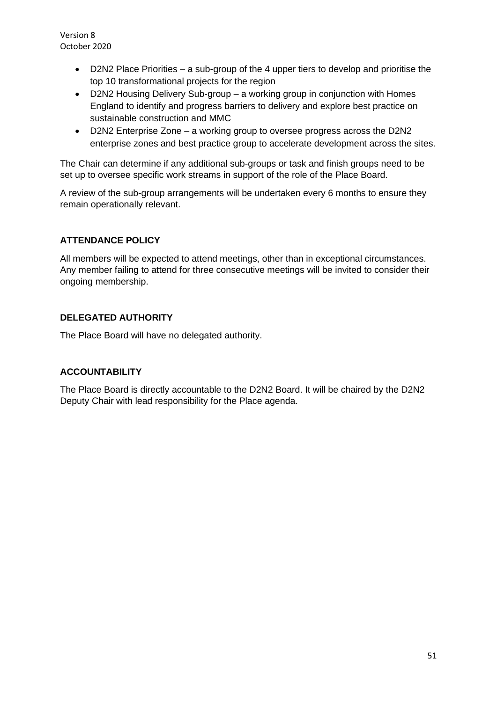- D2N2 Place Priorities a sub-group of the 4 upper tiers to develop and prioritise the top 10 transformational projects for the region
- D2N2 Housing Delivery Sub-group a working group in conjunction with Homes England to identify and progress barriers to delivery and explore best practice on sustainable construction and MMC
- D2N2 Enterprise Zone a working group to oversee progress across the D2N2 enterprise zones and best practice group to accelerate development across the sites.

The Chair can determine if any additional sub-groups or task and finish groups need to be set up to oversee specific work streams in support of the role of the Place Board.

A review of the sub-group arrangements will be undertaken every 6 months to ensure they remain operationally relevant.

## **ATTENDANCE POLICY**

All members will be expected to attend meetings, other than in exceptional circumstances. Any member failing to attend for three consecutive meetings will be invited to consider their ongoing membership.

## **DELEGATED AUTHORITY**

The Place Board will have no delegated authority.

#### **ACCOUNTABILITY**

The Place Board is directly accountable to the D2N2 Board. It will be chaired by the D2N2 Deputy Chair with lead responsibility for the Place agenda.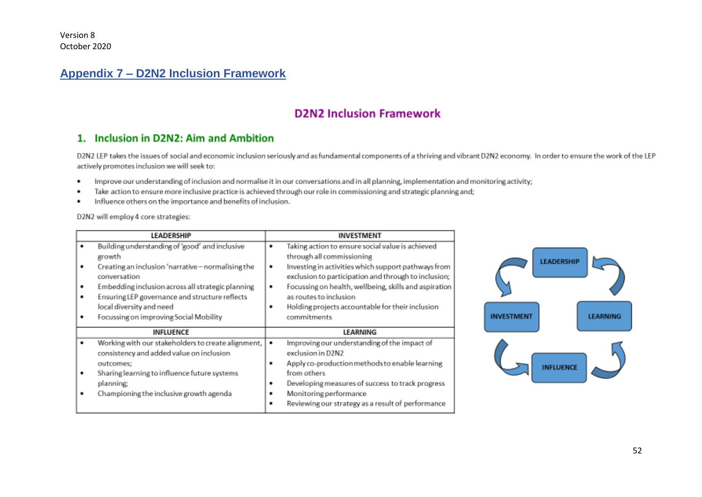# **Appendix 7 – D2N2 Inclusion Framework**

# **D2N2 Inclusion Framework**

# 1. Inclusion in D2N2: Aim and Ambition

D2N2 LEP takes the issues of social and economic inclusion seriously and as fundamental components of a thriving and vibrant D2N2 economy. In order to ensure the work of the LEP actively promotes inclusion we will seek to:

- Improve our understanding of inclusion and normalise it in our conversations and in all planning, implementation and monitoring activity; ٠
- Take action to ensure more inclusive practice is achieved through our role in commissioning and strategic planning and; ٠
- Influence others on the importance and benefits of inclusion. ٠

D2N2 will employ 4 core strategies:

<span id="page-51-0"></span>

|                  | LEADERSHIP                                                                                                                                                                                                                                                                                                  | INVESTMENT                                                                                                                                                                                                                                                                                                                                                        |
|------------------|-------------------------------------------------------------------------------------------------------------------------------------------------------------------------------------------------------------------------------------------------------------------------------------------------------------|-------------------------------------------------------------------------------------------------------------------------------------------------------------------------------------------------------------------------------------------------------------------------------------------------------------------------------------------------------------------|
| ٠<br>٠<br>٠<br>٠ | Building understanding of 'good' and inclusive<br>growth<br>Creating an inclusion 'narrative - normalising the<br>conversation<br>Embedding inclusion across all strategic planning<br>Ensuring LEP governance and structure reflects<br>local diversity and need<br>Focussing on improving Social Mobility | Taking action to ensure social value is achieved<br>٠<br>through all commissioning<br>Investing in activities which support pathways from<br>٠<br>exclusion to participation and through to inclusion;<br>Focussing on health, wellbeing, skills and aspiration<br>as routes to inclusion<br>Holding projects accountable for their inclusion<br>٠<br>commitments |
|                  | <b>INFLUENCE</b>                                                                                                                                                                                                                                                                                            | LEARNING                                                                                                                                                                                                                                                                                                                                                          |
| ٠                | Working with our stakeholders to create alignment,<br>consistency and added value on inclusion<br>outcomes:<br>Sharing learning to influence future systems<br>planning;<br>Championing the inclusive growth agenda                                                                                         | Improving our understanding of the impact of<br>٠<br>exclusion in D2N2<br>Apply co-production methods to enable learning<br>٠<br>from others<br>Developing measures of success to track progress<br>٠<br>Monitoring performance<br>Reviewing our strategy as a result of performance<br>٠                                                                         |

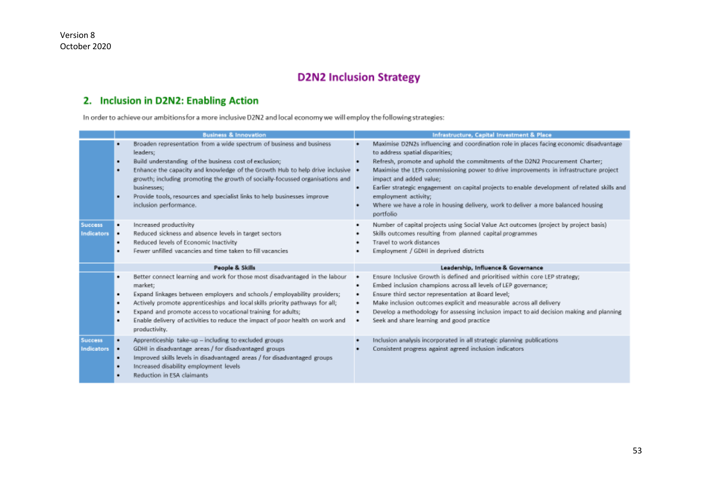# **D2N2 Inclusion Strategy**

# 2. Inclusion in D2N2: Enabling Action

In order to achieve our ambitions for a more inclusive D2N2 and local economy we will employ the following strategies:

|                                     | <b>Business &amp; Innovation</b>                                                                                                                                                                                                                                                                                                                                                                                                                  | Infrastructure, Capital Investment & Place                                                                                                                                                                                                                                                                                                                                                                                                                                                                                                                    |
|-------------------------------------|---------------------------------------------------------------------------------------------------------------------------------------------------------------------------------------------------------------------------------------------------------------------------------------------------------------------------------------------------------------------------------------------------------------------------------------------------|---------------------------------------------------------------------------------------------------------------------------------------------------------------------------------------------------------------------------------------------------------------------------------------------------------------------------------------------------------------------------------------------------------------------------------------------------------------------------------------------------------------------------------------------------------------|
|                                     | Broaden representation from a wide spectrum of business and business<br>leaders;<br>Build understanding of the business cost of exclusion;<br>٠<br>Enhance the capacity and knowledge of the Growth Hub to help drive inclusive .<br>٠<br>growth; including promoting the growth of socially-focussed organisations and<br>businesses;<br>Provide tools, resources and specialist links to help businesses improve<br>٠<br>inclusion performance. | Maximise D2N2s influencing and coordination role in places facing economic disadvantage<br>to address spatial disparities;<br>Refresh, promote and uphold the commitments of the D2N2 Procurement Charter;<br>Maximise the LEPs commissioning power to drive improvements in infrastructure project<br>impact and added value;<br>Earlier strategic engagement on capital projects to enable development of related skills and<br>٠<br>employment activity;<br>Where we have a role in housing delivery, work to deliver a more balanced housing<br>portfolio |
| <b>Success</b><br><b>Indicators</b> | Increased productivity<br>٠<br>Reduced sickness and absence levels in target sectors<br>٠<br>Reduced levels of Economic Inactivity<br>۰<br>Fewer unfilled vacancies and time taken to fill vacancies                                                                                                                                                                                                                                              | Number of capital projects using Social Value Act outcomes (project by project basis)<br>٠<br>Skills outcomes resulting from planned capital programmes<br>Travel to work distances<br>Employment / GDHI in deprived districts                                                                                                                                                                                                                                                                                                                                |
|                                     | People & Skills                                                                                                                                                                                                                                                                                                                                                                                                                                   | Leadership, Influence & Governance                                                                                                                                                                                                                                                                                                                                                                                                                                                                                                                            |
|                                     | Better connect learning and work for those most disadvantaged in the labour<br>٠<br>market;<br>Expand linkages between employers and schools / employability providers;<br>٠<br>Actively promote apprenticeships and local skills priority pathways for all;<br>٠<br>Expand and promote access to vocational training for adults;<br>٠<br>Enable delivery of activities to reduce the impact of poor health on work and<br>٠<br>productivity.     | Ensure Inclusive Growth is defined and prioritised within core LEP strategy;<br>٠<br>Embed inclusion champions across all levels of LEP governance;<br>٠<br>Ensure third sector representation at Board level;<br>٠<br>Make inclusion outcomes explicit and measurable across all delivery<br>٠<br>Develop a methodology for assessing inclusion impact to aid decision making and planning<br>٠<br>Seek and share learning and good practice                                                                                                                 |
| <b>Success</b><br>Indicators        | Apprenticeship take-up - including to excluded groups<br>٠<br>GDHI in disadvantage areas / for disadvantaged groups<br>$\bullet$<br>Improved skills levels in disadvantaged areas / for disadvantaged groups<br>٠<br>Increased disability employment levels<br>٠<br>Reduction in ESA claimants                                                                                                                                                    | Inclusion analysis incorporated in all strategic planning publications<br>Consistent progress against agreed inclusion indicators                                                                                                                                                                                                                                                                                                                                                                                                                             |